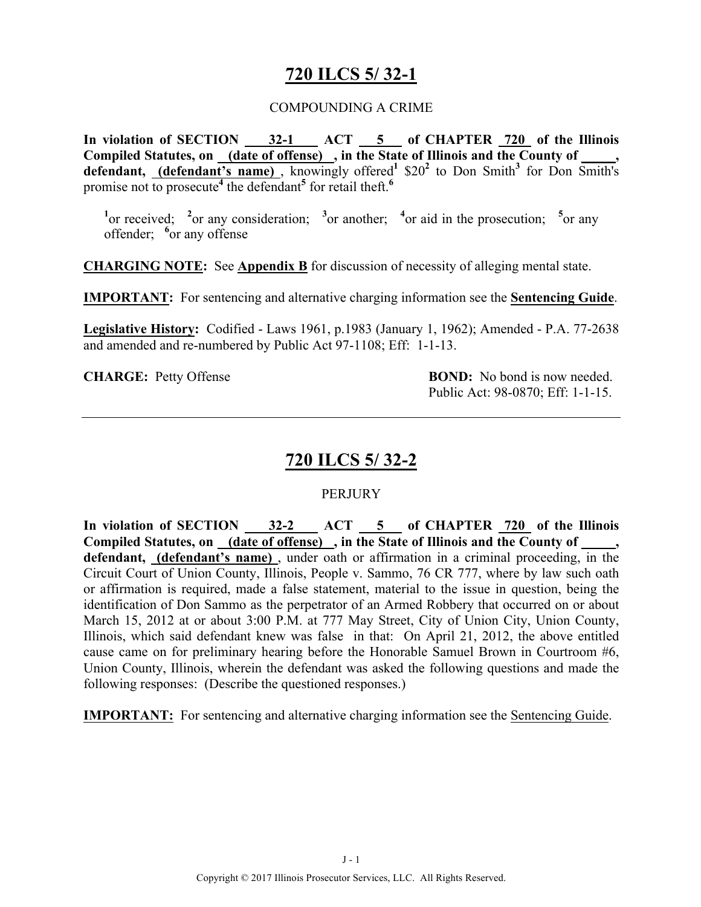# **720 ILCS 5/ 32-1**

#### COMPOUNDING A CRIME

**In violation of SECTION 32-1 ACT 5 of CHAPTER 720 of the Illinois Compiled Statutes, on (date of offense) , in the State of Illinois and the County of \_\_\_\_\_, defendant, (defendant's name)**, knowingly offered<sup>1</sup>  $$20^2$  to Don Smith<sup>3</sup> for Don Smith's promise not to prosecute**<sup>4</sup>** the defendant**<sup>5</sup>** for retail theft.**<sup>6</sup>**

<sup>1</sup><sup>or received; <sup>2</sup><sup>or</sup> any consideration; <sup>3</sup><sup>or</sup> another; <sup>4</sup><sup>or</sup> aid in the prosecution; <sup>5</sup><sup>or</sup> any</sup> offender; <sup>6</sup> or any offense

**CHARGING NOTE:** See **Appendix B** for discussion of necessity of alleging mental state.

**IMPORTANT:** For sentencing and alternative charging information see the **Sentencing Guide**.

**Legislative History:** Codified - Laws 1961, p.1983 (January 1, 1962); Amended - P.A. 77-2638 and amended and re-numbered by Public Act 97-1108; Eff: 1-1-13.

**CHARGE:** Petty Offense **BOND:** No bond is now needed. Public Act: 98-0870; Eff: 1-1-15.

# **720 ILCS 5/ 32-2**

#### **PERJURY**

In violation of SECTION 32-2 ACT 5 of CHAPTER 720 of the Illinois Compiled Statutes, on <u>(date of offense)</u>, in the State of Illinois and the County of **defendant, (defendant's name)** , under oath or affirmation in a criminal proceeding, in the Circuit Court of Union County, Illinois, People v. Sammo, 76 CR 777, where by law such oath or affirmation is required, made a false statement, material to the issue in question, being the identification of Don Sammo as the perpetrator of an Armed Robbery that occurred on or about March 15, 2012 at or about 3:00 P.M. at 777 May Street, City of Union City, Union County, Illinois, which said defendant knew was false in that: On April 21, 2012, the above entitled cause came on for preliminary hearing before the Honorable Samuel Brown in Courtroom #6, Union County, Illinois, wherein the defendant was asked the following questions and made the following responses: (Describe the questioned responses.)

**IMPORTANT:** For sentencing and alternative charging information see the Sentencing Guide.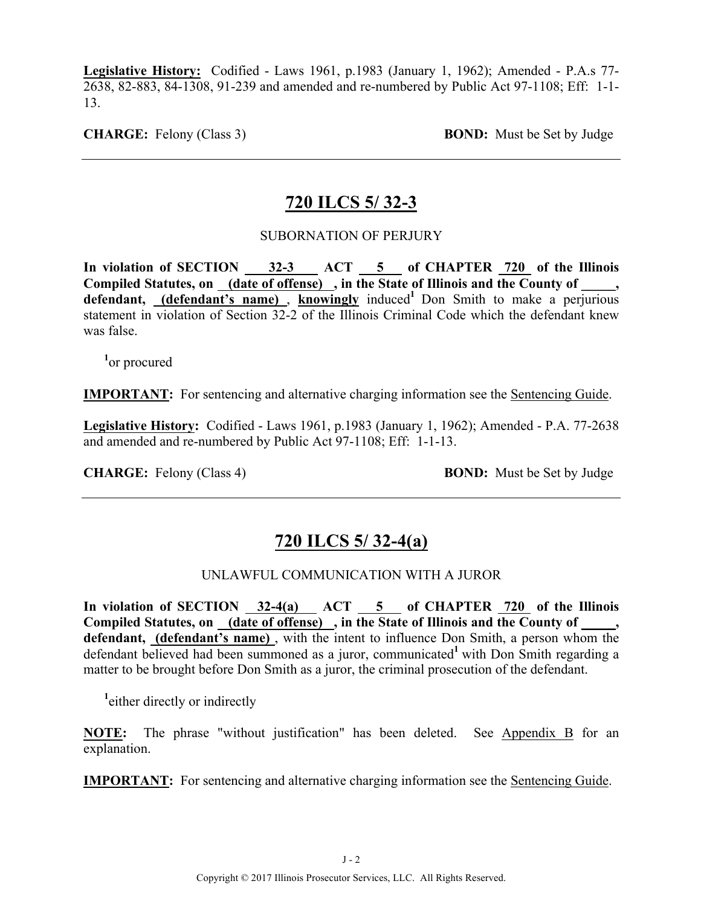**Legislative History:** Codified - Laws 1961, p.1983 (January 1, 1962); Amended - P.A.s 77- 2638, 82-883, 84-1308, 91-239 and amended and re-numbered by Public Act 97-1108; Eff: 1-1- 13.

**CHARGE:** Felony (Class 3) **BOND:** Must be Set by Judge

# **720 ILCS 5/ 32-3**

#### SUBORNATION OF PERJURY

In violation of SECTION 32-3 ACT 5 of CHAPTER 720 of the Illinois Compiled Statutes, on (date of offense), in the State of Illinois and the County of, defendant, **(defendant's name)**, **knowingly** induced<sup>1</sup> Don Smith to make a perjurious statement in violation of Section 32-2 of the Illinois Criminal Code which the defendant knew was false.

**1** or procured

**IMPORTANT:** For sentencing and alternative charging information see the Sentencing Guide.

**Legislative History:** Codified - Laws 1961, p.1983 (January 1, 1962); Amended - P.A. 77-2638 and amended and re-numbered by Public Act 97-1108; Eff: 1-1-13.

**CHARGE:** Felony (Class 4) **BOND:** Must be Set by Judge

# **720 ILCS 5/ 32-4(a)**

#### UNLAWFUL COMMUNICATION WITH A JUROR

In violation of SECTION  $32-4(a)$  ACT  $5$  of CHAPTER  $720$  of the Illinois Compiled Statutes, on \_(date of offense) , in the State of Illinois and the County of \_ **defendant, (defendant's name)** , with the intent to influence Don Smith, a person whom the defendant believed had been summoned as a juror, communicated<sup>1</sup> with Don Smith regarding a matter to be brought before Don Smith as a juror, the criminal prosecution of the defendant.

**1** either directly or indirectly

**NOTE:** The phrase "without justification" has been deleted. See Appendix B for an explanation.

**IMPORTANT:** For sentencing and alternative charging information see the Sentencing Guide.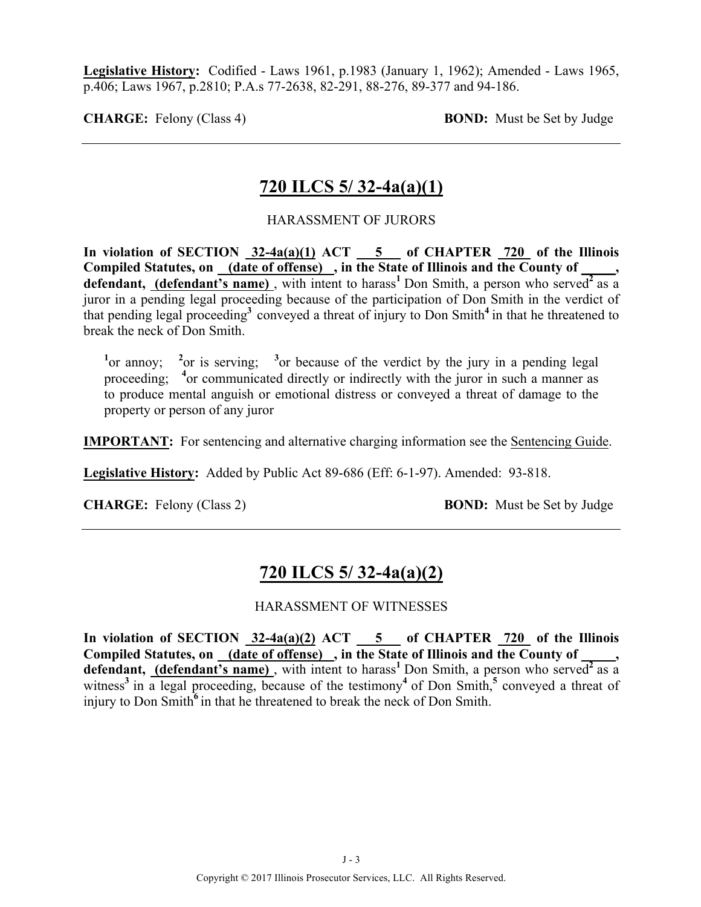**Legislative History:** Codified - Laws 1961, p.1983 (January 1, 1962); Amended - Laws 1965, p.406; Laws 1967, p.2810; P.A.s 77-2638, 82-291, 88-276, 89-377 and 94-186.

**CHARGE:** Felony (Class 4) **BOND:** Must be Set by Judge

# **720 ILCS 5/ 32-4a(a)(1)**

#### HARASSMENT OF JURORS

In violation of SECTION  $32-4a(a)(1)$  ACT  $\overline{\hspace{1cm}}$  5 of CHAPTER 720 of the Illinois **Compiled Statutes, on (date of offense) , in the State of Illinois and the County of \_\_\_\_\_, defendant, (defendant's name)**, with intent to harass<sup>1</sup> Don Smith, a person who served<sup>2</sup> as a juror in a pending legal proceeding because of the participation of Don Smith in the verdict of that pending legal proceeding**<sup>3</sup>**conveyed a threat of injury to Don Smith**<sup>4</sup>**in that he threatened to break the neck of Don Smith.

<sup>1</sup> or annoy; <sup>2</sup> or is serving; <sup>3</sup> or because of the verdict by the jury in a pending legal proceeding; <sup>4</sup> or communicated directly or indirectly with the juror in such a manner as to produce mental anguish or emotional distress or conveyed a threat of damage to the property or person of any juror

**IMPORTANT:** For sentencing and alternative charging information see the Sentencing Guide.

**Legislative History:** Added by Public Act 89-686 (Eff: 6-1-97). Amended: 93-818.

**CHARGE:** Felony (Class 2) **BOND:** Must be Set by Judge

# **720 ILCS 5/ 32-4a(a)(2)**

#### HARASSMENT OF WITNESSES

**In violation of SECTION 32-4a(a)(2) ACT 5 of CHAPTER 720 of the Illinois**  Compiled Statutes, on (date of offense), in the State of Illinois and the County of defendant, *(defendant's name)*, with intent to harass<sup>1</sup> Don Smith, a person who served<sup>2</sup> as a witness<sup>3</sup> in a legal proceeding, because of the testimony<sup>4</sup> of Don Smith,<sup>5</sup> conveyed a threat of injury to Don Smith<sup>6</sup> in that he threatened to break the neck of Don Smith.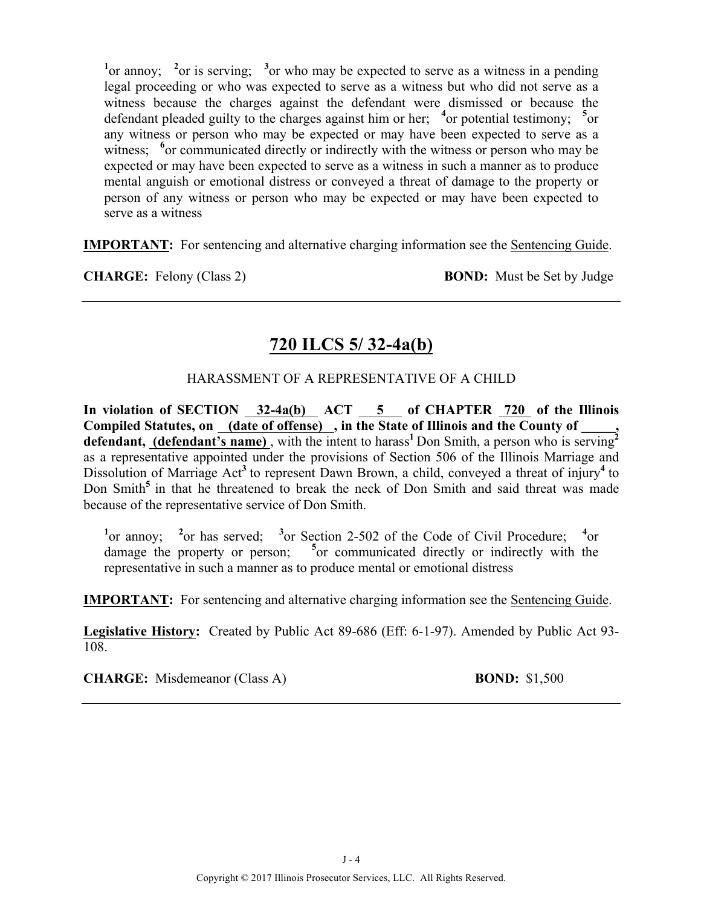<sup>1</sup> or annoy; <sup>2</sup> or is serving; <sup>3</sup> or who may be expected to serve as a witness in a pending legal proceeding or who was expected to serve as a witness but who did not serve as a witness because the charges against the defendant were dismissed or because the defendant pleaded guilty to the charges against him or her; <sup>4</sup> or potential testimony; <sup>5</sup> or any witness or person who may be expected or may have been expected to serve as a witness; <sup>6</sup> or communicated directly or indirectly with the witness or person who may be expected or may have been expected to serve as a witness in such a manner as to produce mental anguish or emotional distress or conveyed a threat of damage to the property or person of any witness or person who may be expected or may have been expected to serve as a witness

**IMPORTANT:** For sentencing and alternative charging information see the Sentencing Guide.

**CHARGE:** Felony (Class 2) **BOND:** Must be Set by Judge

# **720 ILCS 5/ 32-4a(b)**

#### HARASSMENT OF A REPRESENTATIVE OF A CHILD

In violation of SECTION 32-4a(b) ACT 5 of CHAPTER 720 of the Illinois **Compiled Statutes, on (date of offense) , in the State of Illinois and the County of \_\_\_\_\_,**  defendant, **(defendant's name)**, with the intent to harass<sup>1</sup>Don Smith, a person who is serving<sup>2</sup> as a representative appointed under the provisions of Section 506 of the Illinois Marriage and Dissolution of Marriage Act<sup>3</sup> to represent Dawn Brown, a child, conveyed a threat of injury<sup>4</sup> to Don Smith<sup>5</sup> in that he threatened to break the neck of Don Smith and said threat was made because of the representative service of Don Smith.

<sup>1</sup><sup>or</sup> annoy; <sup>2</sup><sub>or has served; <sup>3</sup><sub>or</sub> Section 2-502 of the Code of Civil Procedure; <sup>4</sup><sub>or</sub></sub> damage the property or person; **<sup>5</sup>** <sup>5</sup>or communicated directly or indirectly with the representative in such a manner as to produce mental or emotional distress

**IMPORTANT:** For sentencing and alternative charging information see the Sentencing Guide.

**Legislative History:** Created by Public Act 89-686 (Eff: 6-1-97). Amended by Public Act 93- 108.

**CHARGE:** Misdemeanor (Class A) **BOND:** \$1,500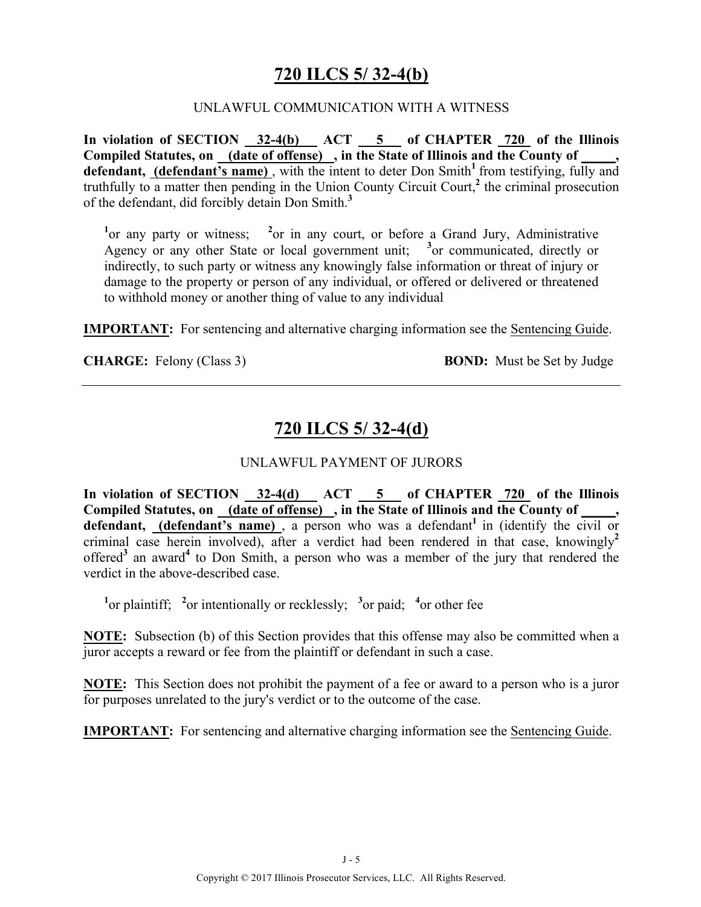# **720 ILCS 5/ 32-4(b)**

#### UNLAWFUL COMMUNICATION WITH A WITNESS

In violation of SECTION 32-4(b) ACT 5 of CHAPTER 720 of the Illinois **Compiled Statutes, on (date of offense) , in the State of Illinois and the County of \_\_\_\_\_, defendant, (defendant's name)** , with the intent to deter Don Smith**<sup>1</sup>**from testifying, fully and truthfully to a matter then pending in the Union County Circuit Court,**<sup>2</sup>** the criminal prosecution of the defendant, did forcibly detain Don Smith.**<sup>3</sup>**

<sup>1</sup> or any party or witness; <sup>2</sup> or in any court, or before a Grand Jury, Administrative Agency or any other State or local government unit; **<sup>3</sup>** or communicated, directly or indirectly, to such party or witness any knowingly false information or threat of injury or damage to the property or person of any individual, or offered or delivered or threatened to withhold money or another thing of value to any individual

**IMPORTANT:** For sentencing and alternative charging information see the Sentencing Guide.

**CHARGE:** Felony (Class 3) **BOND:** Must be Set by Judge

# **720 ILCS 5/ 32-4(d)**

#### UNLAWFUL PAYMENT OF JURORS

**In violation of SECTION 32-4(d) ACT 5 of CHAPTER 720 of the Illinois Compiled Statutes, on (date of offense) , in the State of Illinois and the County of \_\_\_\_\_,**  defendant, (defendant's name), a person who was a defendant<sup>1</sup> in (identify the civil or criminal case herein involved), after a verdict had been rendered in that case, knowingly**<sup>2</sup>** offered**<sup>3</sup>** an award**<sup>4</sup>** to Don Smith, a person who was a member of the jury that rendered the verdict in the above-described case.

<sup>1</sup><sup>or</sup> plaintiff; <sup>2</sup><sub>or</sub> intentionally or recklessly; <sup>3</sup><sub>or</sub> paid; <sup>4</sup><sub>or</sub> other fee

**NOTE:** Subsection (b) of this Section provides that this offense may also be committed when a juror accepts a reward or fee from the plaintiff or defendant in such a case.

**NOTE:** This Section does not prohibit the payment of a fee or award to a person who is a juror for purposes unrelated to the jury's verdict or to the outcome of the case.

**IMPORTANT:** For sentencing and alternative charging information see the Sentencing Guide.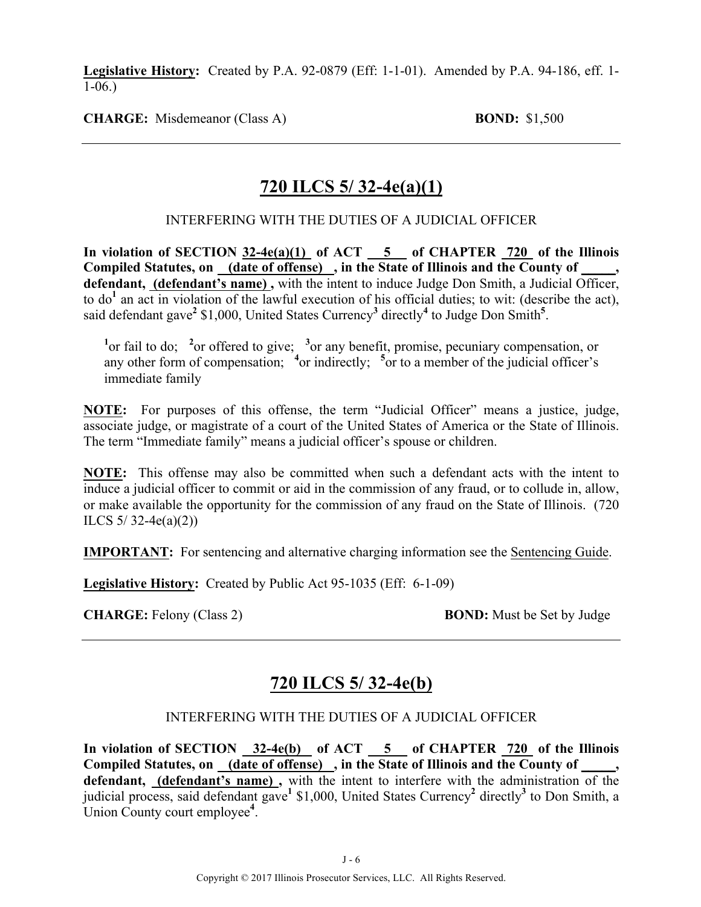**Legislative History:** Created by P.A. 92-0879 (Eff: 1-1-01). Amended by P.A. 94-186, eff. 1- 1-06.)

**CHARGE:** Misdemeanor (Class A) **BOND:** \$1,500

# **720 ILCS 5/ 32-4e(a)(1)**

#### INTERFERING WITH THE DUTIES OF A JUDICIAL OFFICER

**In violation of SECTION 32-4e(a)(1) of ACT 5 of CHAPTER 720 of the Illinois Compiled Statutes, on (date of offense) , in the State of Illinois and the County of \_\_\_\_\_, defendant, (defendant's name) ,** with the intent to induce Judge Don Smith, a Judicial Officer, to do**<sup>1</sup>** an act in violation of the lawful execution of his official duties; to wit: (describe the act), said defendant gave**<sup>2</sup>** \$1,000, United States Currency**<sup>3</sup>** directly**<sup>4</sup>** to Judge Don Smith**<sup>5</sup>** .

<sup>1</sup> or fail to do; <sup>2</sup> or offered to give; <sup>3</sup> or any benefit, promise, pecuniary compensation, or any other form of compensation; <sup>4</sup> or indirectly; <sup>5</sup> or to a member of the judicial officer's immediate family

**NOTE:** For purposes of this offense, the term "Judicial Officer" means a justice, judge, associate judge, or magistrate of a court of the United States of America or the State of Illinois. The term "Immediate family" means a judicial officer's spouse or children.

**NOTE:** This offense may also be committed when such a defendant acts with the intent to induce a judicial officer to commit or aid in the commission of any fraud, or to collude in, allow, or make available the opportunity for the commission of any fraud on the State of Illinois. (720 ILCS  $5/32-4e(a)(2)$ 

**IMPORTANT:** For sentencing and alternative charging information see the Sentencing Guide.

**Legislative History:** Created by Public Act 95-1035 (Eff: 6-1-09)

**CHARGE:** Felony (Class 2) **BOND:** Must be Set by Judge

# **720 ILCS 5/ 32-4e(b)**

#### INTERFERING WITH THE DUTIES OF A JUDICIAL OFFICER

In violation of SECTION 32-4e(b) of ACT 5 of CHAPTER 720 of the Illinois **Compiled Statutes, on (date of offense) , in the State of Illinois and the County of \_\_\_\_\_,**  defendant, (defendant's name), with the intent to interfere with the administration of the judicial process, said defendant gave**<sup>1</sup>** \$1,000, United States Currency**<sup>2</sup>** directly**<sup>3</sup>** to Don Smith, a Union County court employee**<sup>4</sup>** .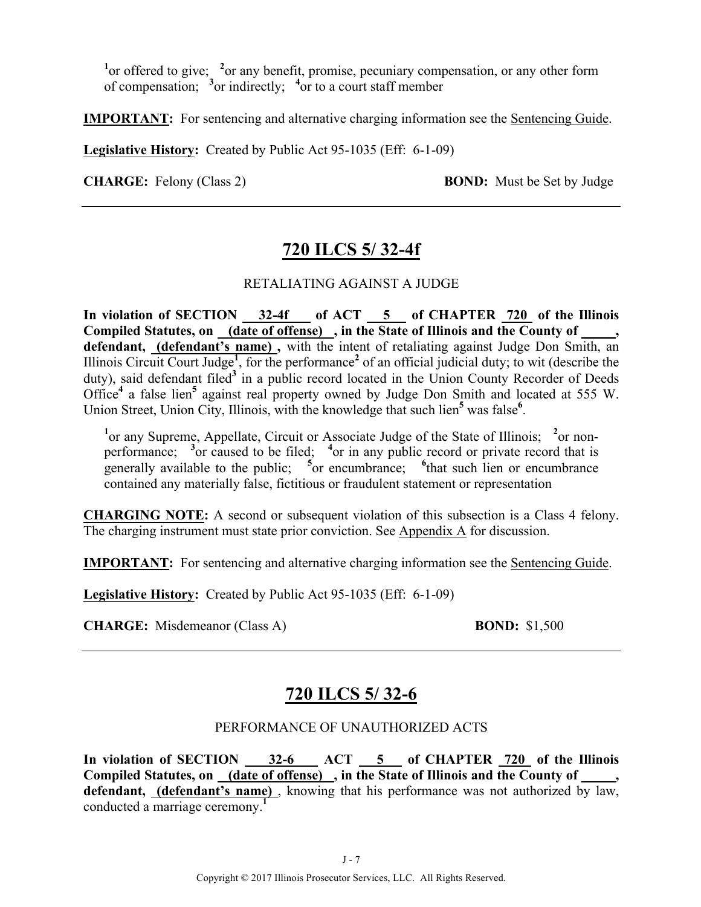<sup>1</sup> or offered to give; <sup>2</sup> or any benefit, promise, pecuniary compensation, or any other form of compensation; **<sup>3</sup>** or indirectly; **<sup>4</sup>** or to a court staff member

**IMPORTANT:** For sentencing and alternative charging information see the Sentencing Guide.

**Legislative History:** Created by Public Act 95-1035 (Eff: 6-1-09)

**CHARGE:** Felony (Class 2) **BOND:** Must be Set by Judge

# **720 ILCS 5/ 32-4f**

#### RETALIATING AGAINST A JUDGE

**In violation of SECTION 32-4f of ACT 5 of CHAPTER 720 of the Illinois Compiled Statutes, on (date of offense) , in the State of Illinois and the County of \_\_\_\_\_, defendant, (defendant's name) ,** with the intent of retaliating against Judge Don Smith, an Illinois Circuit Court Judge**<sup>1</sup>** , for the performance**<sup>2</sup>** of an official judicial duty; to wit (describe the duty), said defendant filed<sup>3</sup> in a public record located in the Union County Recorder of Deeds Office**<sup>4</sup>** a false lien**<sup>5</sup>** against real property owned by Judge Don Smith and located at 555 W. Union Street, Union City, Illinois, with the knowledge that such lien<sup>5</sup> was false<sup>6</sup>.

<sup>1</sup> or any Supreme, Appellate, Circuit or Associate Judge of the State of Illinois; <sup>2</sup> or nonperformance; <sup>3</sup> or caused to be filed; <sup>4</sup> or in any public record or private record that is generally available to the public; <sup>5</sup> or encumbrance; <sup>6</sup> that such lien or encumbrance contained any materially false, fictitious or fraudulent statement or representation

**CHARGING NOTE:** A second or subsequent violation of this subsection is a Class 4 felony. The charging instrument must state prior conviction. See Appendix A for discussion.

**IMPORTANT:** For sentencing and alternative charging information see the Sentencing Guide.

**Legislative History:** Created by Public Act 95-1035 (Eff: 6-1-09)

**CHARGE:** Misdemeanor (Class A) **BOND:** \$1,500

# **720 ILCS 5/ 32-6**

#### PERFORMANCE OF UNAUTHORIZED ACTS

In violation of SECTION 32-6 ACT 5 of CHAPTER 720 of the Illinois Compiled Statutes, on (date of offense), in the State of Illinois and the County of **defendant, (defendant's name)** , knowing that his performance was not authorized by law, conducted a marriage ceremony.**<sup>1</sup>**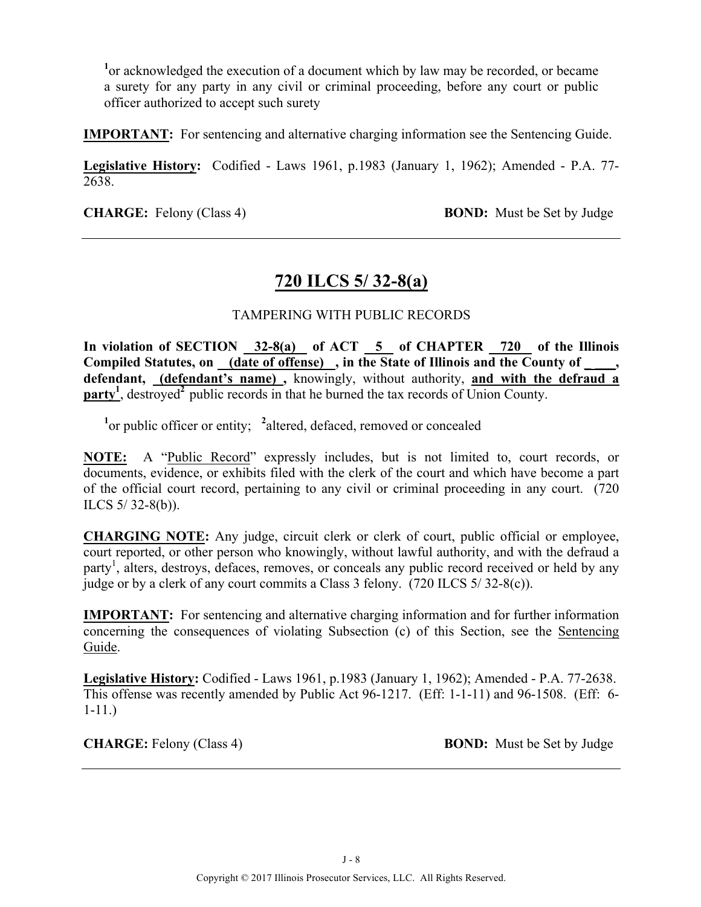<sup>1</sup> or acknowledged the execution of a document which by law may be recorded, or became a surety for any party in any civil or criminal proceeding, before any court or public officer authorized to accept such surety

**IMPORTANT:** For sentencing and alternative charging information see the Sentencing Guide.

**Legislative History:** Codified - Laws 1961, p.1983 (January 1, 1962); Amended - P.A. 77- 2638.

**CHARGE:** Felony (Class 4) **BOND:** Must be Set by Judge

# **720 ILCS 5/ 32-8(a)**

#### TAMPERING WITH PUBLIC RECORDS

**In violation of SECTION 32-8(a) of ACT 5 of CHAPTER 720 of the Illinois**  Compiled Statutes, on (date of offense), in the State of Illinois and the County of, **defendant, (defendant's name) ,** knowingly, without authority, **and with the defraud a**   $party<sup>1</sup>$ , destroyed<sup>2</sup> public records in that he burned the tax records of Union County.

<sup>1</sup><sup>or</sup> public officer or entity; <sup>2</sup> altered, defaced, removed or concealed

**NOTE:** A "Public Record" expressly includes, but is not limited to, court records, or documents, evidence, or exhibits filed with the clerk of the court and which have become a part of the official court record, pertaining to any civil or criminal proceeding in any court. (720 ILCS 5/ 32-8(b)).

**CHARGING NOTE:** Any judge, circuit clerk or clerk of court, public official or employee, court reported, or other person who knowingly, without lawful authority, and with the defraud a party<sup>1</sup>, alters, destroys, defaces, removes, or conceals any public record received or held by any judge or by a clerk of any court commits a Class 3 felony. (720 ILCS 5/ 32-8(c)).

**IMPORTANT:** For sentencing and alternative charging information and for further information concerning the consequences of violating Subsection (c) of this Section, see the Sentencing Guide.

**Legislative History:** Codified - Laws 1961, p.1983 (January 1, 1962); Amended - P.A. 77-2638. This offense was recently amended by Public Act 96-1217. (Eff: 1-1-11) and 96-1508. (Eff: 6- 1-11.)

**CHARGE:** Felony (Class 4) **BOND:** Must be Set by Judge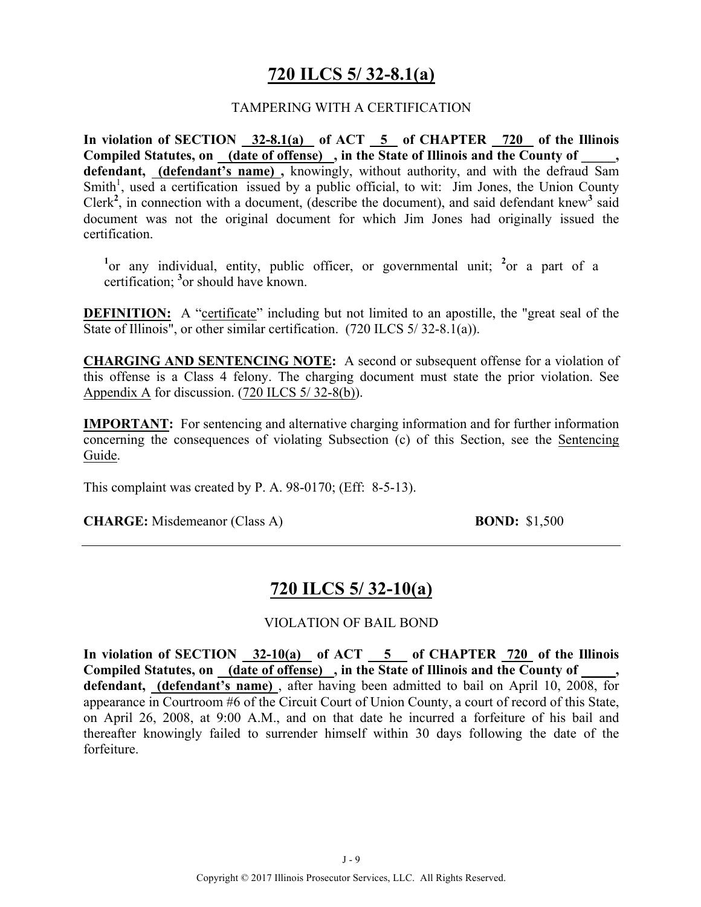# **720 ILCS 5/ 32-8.1(a)**

#### TAMPERING WITH A CERTIFICATION

**In violation of SECTION 32-8.1(a) of ACT 5 of CHAPTER 720 of the Illinois Compiled Statutes, on (date of offense) , in the State of Illinois and the County of \_\_\_\_\_, defendant, (defendant's name) ,** knowingly, without authority, and with the defraud Sam Smith<sup>1</sup>, used a certification issued by a public official, to wit: Jim Jones, the Union County Clerk<sup>2</sup>, in connection with a document, (describe the document), and said defendant knew<sup>3</sup> said document was not the original document for which Jim Jones had originally issued the certification.

<sup>1</sup> or any individual, entity, public officer, or governmental unit; <sup>2</sup> or a part of a certification; **<sup>3</sup>** or should have known.

**DEFINITION:** A "certificate" including but not limited to an apostille, the "great seal of the State of Illinois", or other similar certification. (720 ILCS 5/32-8.1(a)).

**CHARGING AND SENTENCING NOTE:** A second or subsequent offense for a violation of this offense is a Class 4 felony. The charging document must state the prior violation. See Appendix A for discussion. (720 ILCS 5/ 32-8(b)).

**IMPORTANT:** For sentencing and alternative charging information and for further information concerning the consequences of violating Subsection (c) of this Section, see the Sentencing Guide.

This complaint was created by P. A. 98-0170; (Eff: 8-5-13).

**CHARGE:** Misdemeanor (Class A) **BOND:** \$1,500

# **720 ILCS 5/ 32-10(a)**

VIOLATION OF BAIL BOND

**In violation of SECTION 32-10(a) of ACT 5 of CHAPTER 720 of the Illinois**  Compiled Statutes, on (date of offense), in the State of Illinois and the County of **defendant, (defendant's name)** , after having been admitted to bail on April 10, 2008, for appearance in Courtroom #6 of the Circuit Court of Union County, a court of record of this State, on April 26, 2008, at 9:00 A.M., and on that date he incurred a forfeiture of his bail and thereafter knowingly failed to surrender himself within 30 days following the date of the forfeiture.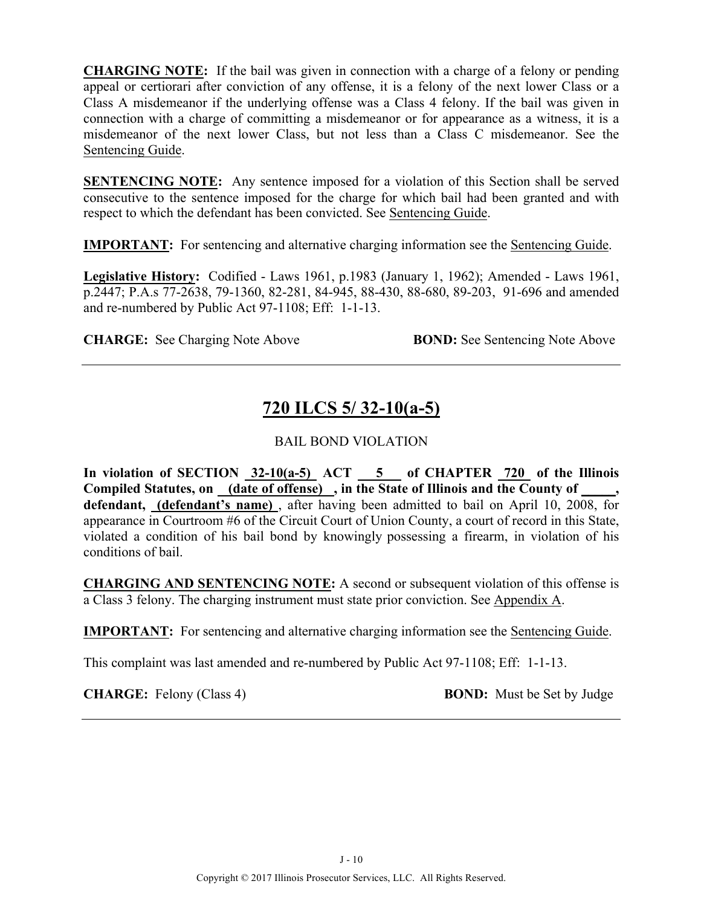**CHARGING NOTE:** If the bail was given in connection with a charge of a felony or pending appeal or certiorari after conviction of any offense, it is a felony of the next lower Class or a Class A misdemeanor if the underlying offense was a Class 4 felony. If the bail was given in connection with a charge of committing a misdemeanor or for appearance as a witness, it is a misdemeanor of the next lower Class, but not less than a Class C misdemeanor. See the Sentencing Guide.

**SENTENCING NOTE:** Any sentence imposed for a violation of this Section shall be served consecutive to the sentence imposed for the charge for which bail had been granted and with respect to which the defendant has been convicted. See Sentencing Guide.

**IMPORTANT:** For sentencing and alternative charging information see the Sentencing Guide.

**Legislative History:** Codified - Laws 1961, p.1983 (January 1, 1962); Amended - Laws 1961, p.2447; P.A.s 77-2638, 79-1360, 82-281, 84-945, 88-430, 88-680, 89-203, 91-696 and amended and re-numbered by Public Act 97-1108; Eff: 1-1-13.

**CHARGE:** See Charging Note Above **BOND:** See Sentencing Note Above

# **720 ILCS 5/ 32-10(a-5)**

#### BAIL BOND VIOLATION

**In violation of SECTION 32-10(a-5) ACT 5 of CHAPTER 720 of the Illinois**  Compiled Statutes, on (date of offense), in the State of Illinois and the County of \_\_\_\_, defendant, *(defendant's name)*, after having been admitted to bail on April 10, 2008, for appearance in Courtroom #6 of the Circuit Court of Union County, a court of record in this State, violated a condition of his bail bond by knowingly possessing a firearm, in violation of his conditions of bail.

**CHARGING AND SENTENCING NOTE:** A second or subsequent violation of this offense is a Class 3 felony. The charging instrument must state prior conviction. See Appendix A.

**IMPORTANT:** For sentencing and alternative charging information see the Sentencing Guide.

This complaint was last amended and re-numbered by Public Act 97-1108; Eff: 1-1-13.

**CHARGE:** Felony (Class 4) **BOND:** Must be Set by Judge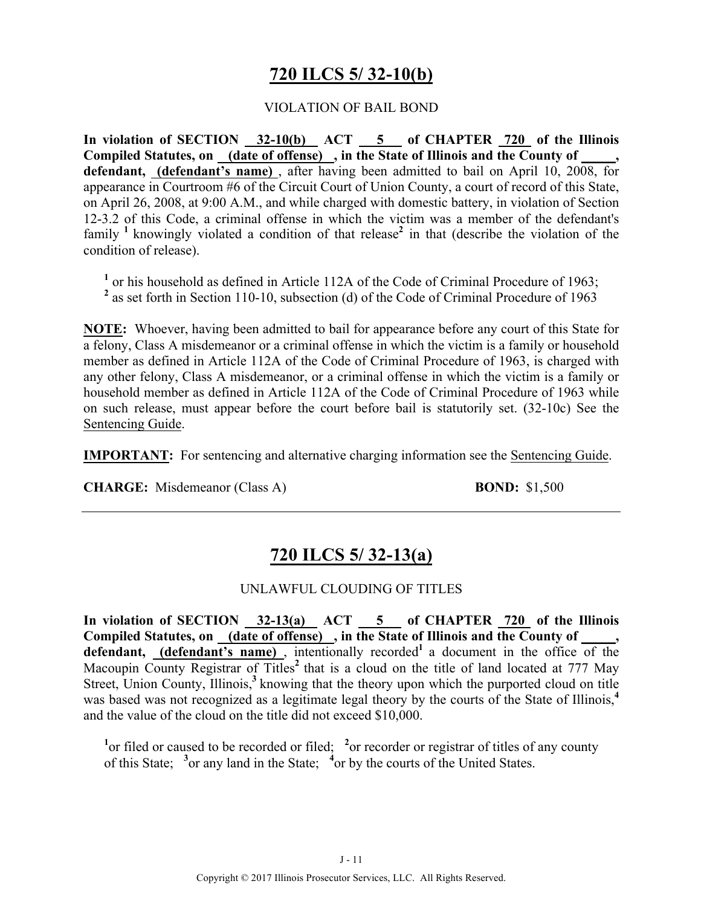# **720 ILCS 5/ 32-10(b)**

#### VIOLATION OF BAIL BOND

In violation of SECTION 32-10(b) ACT 5 of CHAPTER 720 of the Illinois **Compiled Statutes, on (date of offense) , in the State of Illinois and the County of \_\_\_\_\_, defendant, (defendant's name)** , after having been admitted to bail on April 10, 2008, for appearance in Courtroom #6 of the Circuit Court of Union County, a court of record of this State, on April 26, 2008, at 9:00 A.M., and while charged with domestic battery, in violation of Section 12-3.2 of this Code, a criminal offense in which the victim was a member of the defendant's family **<sup>1</sup>**knowingly violated a condition of that release**<sup>2</sup>** in that (describe the violation of the condition of release).

**<sup>1</sup>** or his household as defined in Article 112A of the Code of Criminal Procedure of 1963;

<sup>2</sup> as set forth in Section 110-10, subsection (d) of the Code of Criminal Procedure of 1963

**NOTE:** Whoever, having been admitted to bail for appearance before any court of this State for a felony, Class A misdemeanor or a criminal offense in which the victim is a family or household member as defined in Article 112A of the Code of Criminal Procedure of 1963, is charged with any other felony, Class A misdemeanor, or a criminal offense in which the victim is a family or household member as defined in Article 112A of the Code of Criminal Procedure of 1963 while on such release, must appear before the court before bail is statutorily set. (32-10c) See the Sentencing Guide.

**IMPORTANT:** For sentencing and alternative charging information see the Sentencing Guide.

**CHARGE:** Misdemeanor (Class A) **BOND:** \$1,500

# **720 ILCS 5/ 32-13(a)**

#### UNLAWFUL CLOUDING OF TITLES

In violation of SECTION  $\frac{32-13(a)}{2}$  ACT  $\frac{5}{a}$  of CHAPTER  $\frac{720}{720}$  of the Illinois Compiled Statutes, on (date of offense), in the State of Illinois and the County of defendant, (defendant's name), intentionally recorded<sup>1</sup> a document in the office of the Macoupin County Registrar of Titles<sup>2</sup> that is a cloud on the title of land located at 777 May Street, Union County, Illinois,<sup>3</sup> knowing that the theory upon which the purported cloud on title was based was not recognized as a legitimate legal theory by the courts of the State of Illinois,<sup>4</sup> and the value of the cloud on the title did not exceed \$10,000.

<sup>1</sup><sup>or</sup> filed or caused to be recorded or filed; <sup>2</sup><sup>or</sup> recorder or registrar of titles of any county of this State; <sup>3</sup> or any land in the State; <sup>4</sup> or by the courts of the United States.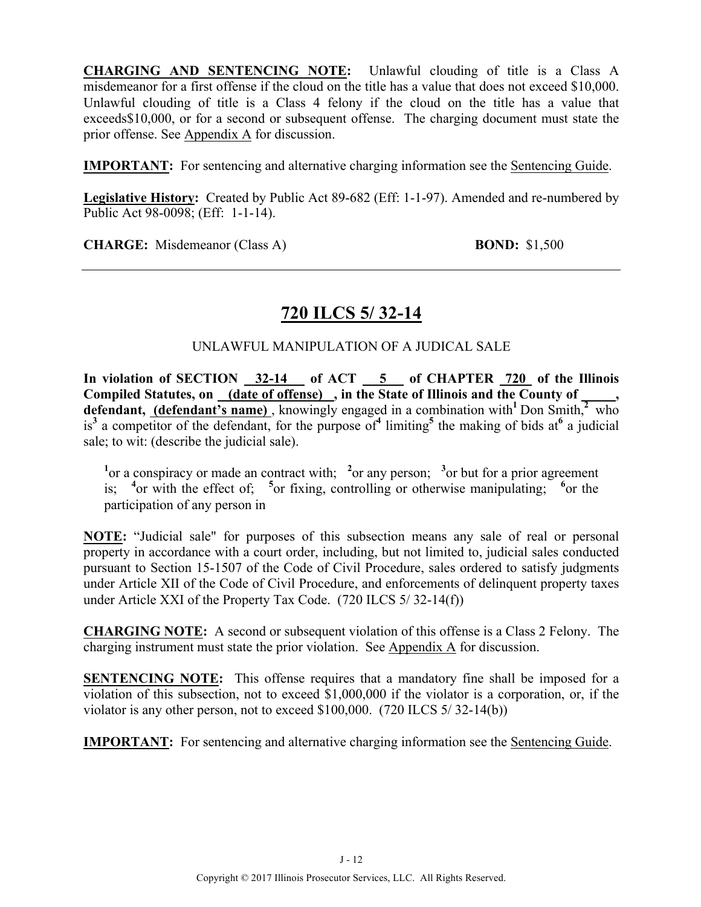**CHARGING AND SENTENCING NOTE:** Unlawful clouding of title is a Class A misdemeanor for a first offense if the cloud on the title has a value that does not exceed \$10,000. Unlawful clouding of title is a Class 4 felony if the cloud on the title has a value that exceeds\$10,000, or for a second or subsequent offense. The charging document must state the prior offense. See Appendix A for discussion.

**IMPORTANT:** For sentencing and alternative charging information see the Sentencing Guide.

**Legislative History:** Created by Public Act 89-682 (Eff: 1-1-97). Amended and re-numbered by Public Act 98-0098; (Eff: 1-1-14).

**CHARGE:** Misdemeanor (Class A) **BOND:** \$1,500

# **720 ILCS 5/ 32-14**

#### UNLAWFUL MANIPULATION OF A JUDICAL SALE

In violation of SECTION 32-14 of ACT 5 of CHAPTER 720 of the Illinois Compiled Statutes, on (date of offense), in the State of Illinois and the County of **defendant, (defendant's name)**, knowingly engaged in a combination with<sup>1</sup> Don Smith, $\frac{2}{x}$  who is<sup>3</sup> a competitor of the defendant, for the purpose of<sup>4</sup> limiting<sup>5</sup> the making of bids at<sup>6</sup> a judicial sale; to wit: (describe the judicial sale).

<sup>1</sup><sup>or</sup> a conspiracy or made an contract with; <sup>2</sup><sup>or</sup> any person; <sup>3</sup><sup>or</sup> but for a prior agreement is; <sup>4</sup> or with the effect of; <sup>5</sup> or fixing, controlling or otherwise manipulating; <sup>6</sup> or the participation of any person in

**NOTE:** "Judicial sale" for purposes of this subsection means any sale of real or personal property in accordance with a court order, including, but not limited to, judicial sales conducted pursuant to Section 15-1507 of the Code of Civil Procedure, sales ordered to satisfy judgments under Article XII of the Code of Civil Procedure, and enforcements of delinquent property taxes under Article XXI of the Property Tax Code. (720 ILCS 5/ 32-14(f))

**CHARGING NOTE:** A second or subsequent violation of this offense is a Class 2 Felony. The charging instrument must state the prior violation. See Appendix A for discussion.

**SENTENCING NOTE:** This offense requires that a mandatory fine shall be imposed for a violation of this subsection, not to exceed \$1,000,000 if the violator is a corporation, or, if the violator is any other person, not to exceed \$100,000. (720 ILCS 5/ 32-14(b))

**IMPORTANT:** For sentencing and alternative charging information see the Sentencing Guide.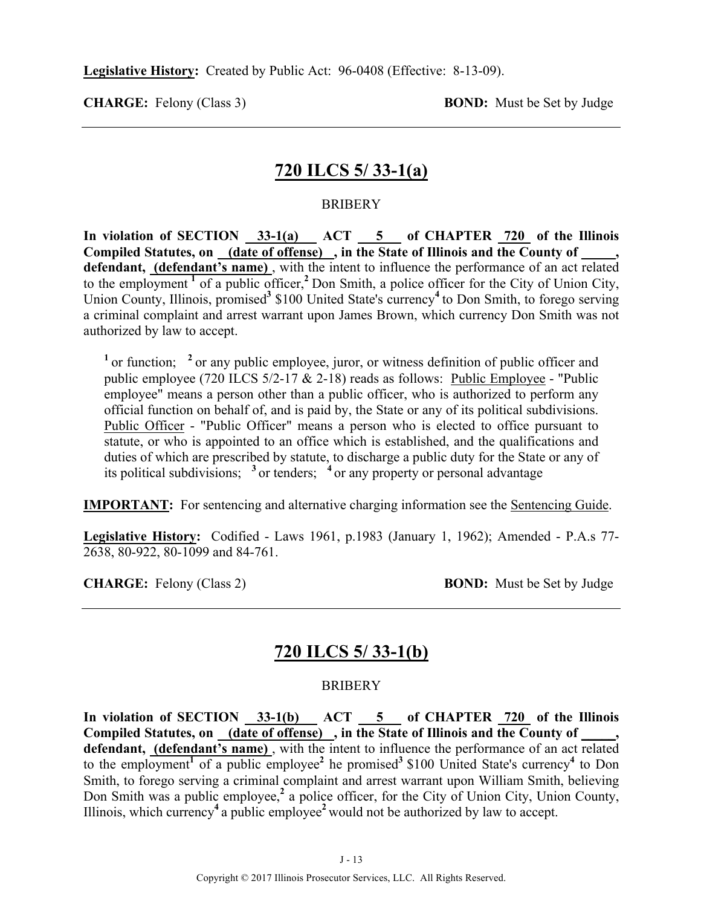**Legislative History:** Created by Public Act: 96-0408 (Effective: 8-13-09).

**CHARGE:** Felony (Class 3) **BOND:** Must be Set by Judge

# **720 ILCS 5/ 33-1(a)**

#### **BRIBERY**

In violation of SECTION  $\frac{33-1(a)}{2a}$  ACT  $\frac{5}{a}$  of CHAPTER  $\frac{720}{720}$  of the Illinois **Compiled Statutes, on (date of offense) , in the State of Illinois and the County of \_\_\_\_\_, defendant, (defendant's name)** , with the intent to influence the performance of an act related to the employment **<sup>1</sup>** of a public officer,**<sup>2</sup>**Don Smith, a police officer for the City of Union City, Union County, Illinois, promised**<sup>3</sup>** \$100 United State's currency**<sup>4</sup>**to Don Smith, to forego serving a criminal complaint and arrest warrant upon James Brown, which currency Don Smith was not authorized by law to accept.

<sup>1</sup> or function; <sup>2</sup> or any public employee, juror, or witness definition of public officer and public employee (720 ILCS 5/2-17 & 2-18) reads as follows: Public Employee - "Public employee" means a person other than a public officer, who is authorized to perform any official function on behalf of, and is paid by, the State or any of its political subdivisions. Public Officer - "Public Officer" means a person who is elected to office pursuant to statute, or who is appointed to an office which is established, and the qualifications and duties of which are prescribed by statute, to discharge a public duty for the State or any of its political subdivisions; **<sup>3</sup>**or tenders; **<sup>4</sup>**or any property or personal advantage

**IMPORTANT:** For sentencing and alternative charging information see the Sentencing Guide.

**Legislative History:** Codified - Laws 1961, p.1983 (January 1, 1962); Amended - P.A.s 77- 2638, 80-922, 80-1099 and 84-761.

**CHARGE:** Felony (Class 2) **BOND:** Must be Set by Judge

# **720 ILCS 5/ 33-1(b)**

#### **BRIBERY**

In violation of SECTION 33-1(b) ACT 5 of CHAPTER 720 of the Illinois **Compiled Statutes, on (date of offense) , in the State of Illinois and the County of \_\_\_\_\_, defendant, (defendant's name)** , with the intent to influence the performance of an act related to the employment<sup>1</sup> of a public employee<sup>2</sup> he promised<sup>3</sup> \$100 United State's currency<sup>4</sup> to Don Smith, to forego serving a criminal complaint and arrest warrant upon William Smith, believing Don Smith was a public employee,**<sup>2</sup>** a police officer, for the City of Union City, Union County, Illinois, which currency**<sup>4</sup>**a public employee**<sup>2</sup>**would not be authorized by law to accept.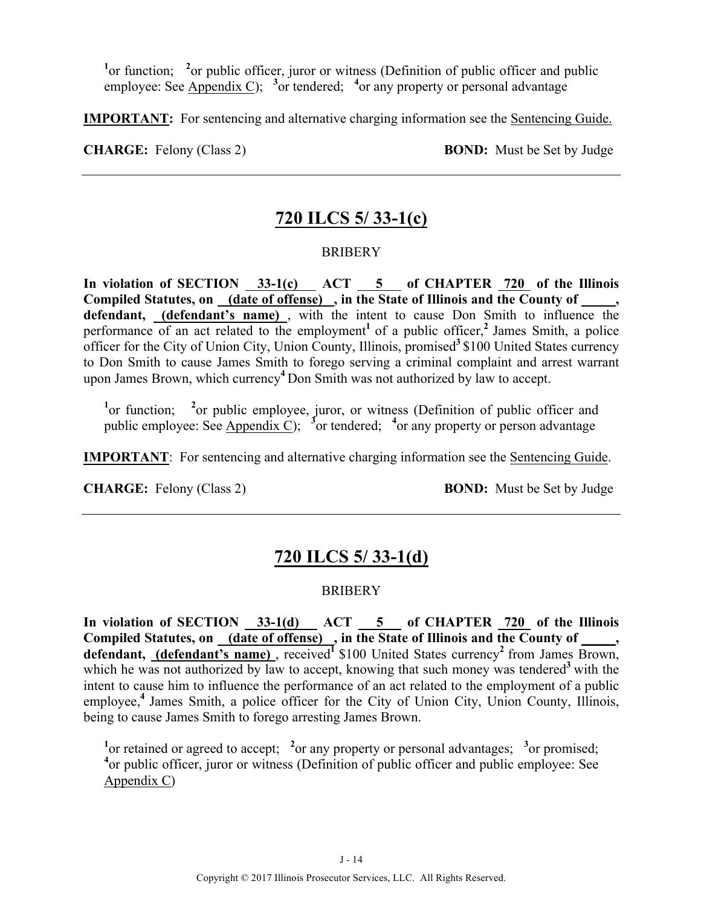<sup>1</sup> or function; <sup>2</sup> or public officer, juror or witness (Definition of public officer and public employee: See Appendix C); <sup>3</sup> or tendered; <sup>4</sup> or any property or personal advantage

**IMPORTANT:** For sentencing and alternative charging information see the Sentencing Guide.

**CHARGE:** Felony (Class 2) **BOND:** Must be Set by Judge

# **720 ILCS 5/ 33-1(c)**

#### **BRIBERY**

In violation of SECTION 33-1(c) ACT 5 of CHAPTER 720 of the Illinois Compiled Statutes, on (date of offense), in the State of Illinois and the County of **defendant, (defendant's name)** , with the intent to cause Don Smith to influence the performance of an act related to the employment<sup>1</sup> of a public officer,<sup>2</sup> James Smith, a police officer for the City of Union City, Union County, Illinois, promised**<sup>3</sup>**\$100 United States currency to Don Smith to cause James Smith to forego serving a criminal complaint and arrest warrant upon James Brown, which currency**<sup>4</sup>**Don Smith was not authorized by law to accept.

<sup>1</sup> or function; <sup>2</sup> or public employee, juror, or witness (Definition of public officer and public employee: See Appendix C);  $\frac{3}{5}$  or tendered;  $\frac{4}{5}$  or any property or person advantage

**IMPORTANT**: For sentencing and alternative charging information see the Sentencing Guide.

**CHARGE:** Felony (Class 2) **BOND:** Must be Set by Judge

# **720 ILCS 5/ 33-1(d)**

#### **BRIBERY**

In violation of SECTION 33-1(d) ACT 5 of CHAPTER 720 of the Illinois Compiled Statutes, on \_(date of offense) , in the State of Illinois and the County of defendant, (defendant's name), received<sup>1</sup> \$100 United States currency<sup>2</sup> from James Brown, which he was not authorized by law to accept, knowing that such money was tendered<sup>3</sup> with the intent to cause him to influence the performance of an act related to the employment of a public employee,<sup>4</sup> James Smith, a police officer for the City of Union City, Union County, Illinois, being to cause James Smith to forego arresting James Brown.

<sup>1</sup> or retained or agreed to accept; <sup>2</sup> or any property or personal advantages; <sup>3</sup> or promised; <sup>4</sup> or public officer, juror or witness (Definition of public officer and public employee: See Appendix C)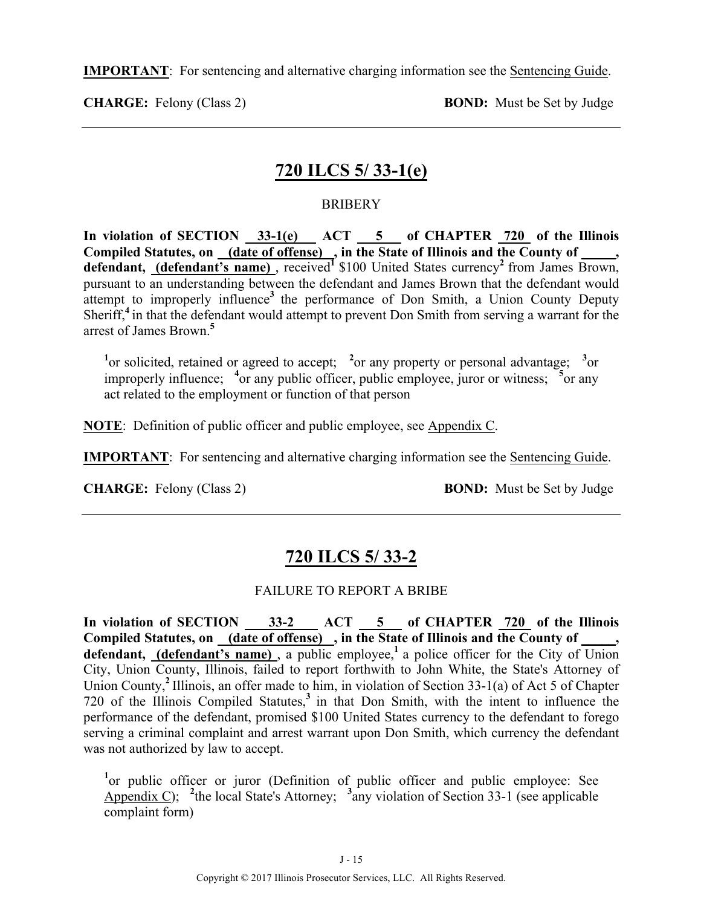**IMPORTANT**: For sentencing and alternative charging information see the Sentencing Guide.

**CHARGE:** Felony (Class 2) **BOND:** Must be Set by Judge

# **720 ILCS 5/ 33-1(e)**

#### **BRIBERY**

**In violation of SECTION 33-1(e) ACT 5 of CHAPTER 720 of the Illinois Compiled Statutes, on (date of offense) , in the State of Illinois and the County of \_\_\_\_\_,**  defendant, (defendant's name), received<sup>1</sup> \$100 United States currency<sup>2</sup> from James Brown, pursuant to an understanding between the defendant and James Brown that the defendant would attempt to improperly influence<sup>3</sup> the performance of Don Smith, a Union County Deputy Sheriff,**<sup>4</sup>**in that the defendant would attempt to prevent Don Smith from serving a warrant for the arrest of James Brown.**<sup>5</sup>**

<sup>1</sup><sup>or</sup> solicited, retained or agreed to accept; <sup>2</sup> or any property or personal advantage; <sup>3</sup> or improperly influence; <sup>4</sup>or any public officer, public employee, juror or witness; <sup>5</sup>or any act related to the employment or function of that person

**NOTE**: Definition of public officer and public employee, see Appendix C.

**IMPORTANT**: For sentencing and alternative charging information see the Sentencing Guide.

**CHARGE:** Felony (Class 2) **BOND:** Must be Set by Judge

# **720 ILCS 5/ 33-2**

#### FAILURE TO REPORT A BRIBE

In violation of SECTION 33-2 ACT 5 of CHAPTER 720 of the Illinois Compiled Statutes, on (date of offense), in the State of Illinois and the County of, defendant, (defendant's name), a public employee,<sup>1</sup> a police officer for the City of Union City, Union County, Illinois, failed to report forthwith to John White, the State's Attorney of Union County,**<sup>2</sup>**Illinois, an offer made to him, in violation of Section 33-1(a) of Act 5 of Chapter 720 of the Illinois Compiled Statutes,**<sup>3</sup>**in that Don Smith, with the intent to influence the performance of the defendant, promised \$100 United States currency to the defendant to forego serving a criminal complaint and arrest warrant upon Don Smith, which currency the defendant was not authorized by law to accept.

<sup>1</sup> or public officer or juror (Definition of public officer and public employee: See Appendix C); <sup>2</sup>the local State's Attorney; <sup>3</sup>any violation of Section 33-1 (see applicable complaint form)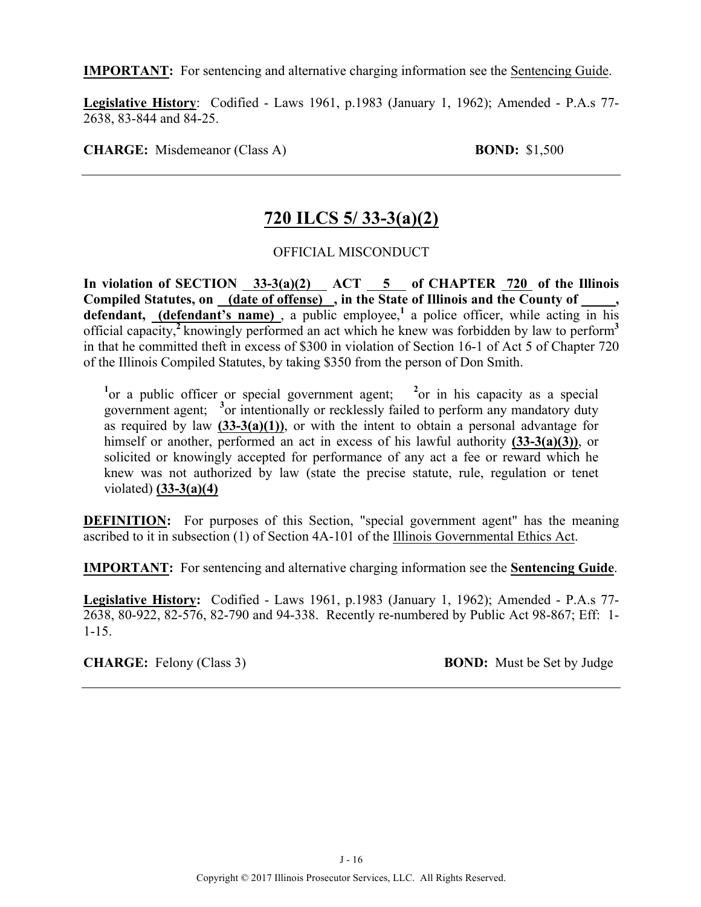**IMPORTANT:** For sentencing and alternative charging information see the Sentencing Guide.

**Legislative History**: Codified - Laws 1961, p.1983 (January 1, 1962); Amended - P.A.s 77- 2638, 83-844 and 84-25.

**CHARGE:** Misdemeanor (Class A) **BOND:** \$1,500

# **720 ILCS 5/ 33-3(a)(2)**

OFFICIAL MISCONDUCT

In violation of SECTION 33-3(a)(2) ACT 5 of CHAPTER 720 of the Illinois Compiled Statutes, on (date of offense), in the State of Illinois and the County of defendant, (defendant's name), a public employee,<sup>1</sup> a police officer, while acting in his official capacity,**<sup>2</sup>**knowingly performed an act which he knew was forbidden by law to perform**<sup>3</sup>** in that he committed theft in excess of \$300 in violation of Section 16-1 of Act 5 of Chapter 720 of the Illinois Compiled Statutes, by taking \$350 from the person of Don Smith.

<sup>1</sup><sup>or a</sup> public officer or special government agent; <sup>2</sup><sup>or</sup> in his capacity as a special government agent; **<sup>3</sup>** or intentionally or recklessly failed to perform any mandatory duty as required by law **(33-3(a)(1))**, or with the intent to obtain a personal advantage for himself or another, performed an act in excess of his lawful authority **(33-3(a)(3))**, or solicited or knowingly accepted for performance of any act a fee or reward which he knew was not authorized by law (state the precise statute, rule, regulation or tenet violated) **(33-3(a)(4)**

**DEFINITION:** For purposes of this Section, "special government agent" has the meaning ascribed to it in subsection (1) of Section 4A-101 of the Illinois Governmental Ethics Act.

**IMPORTANT:** For sentencing and alternative charging information see the **Sentencing Guide**.

**Legislative History:** Codified - Laws 1961, p.1983 (January 1, 1962); Amended - P.A.s 77- 2638, 80-922, 82-576, 82-790 and 94-338. Recently re-numbered by Public Act 98-867; Eff: 1- 1-15.

**CHARGE:** Felony (Class 3) **BOND:** Must be Set by Judge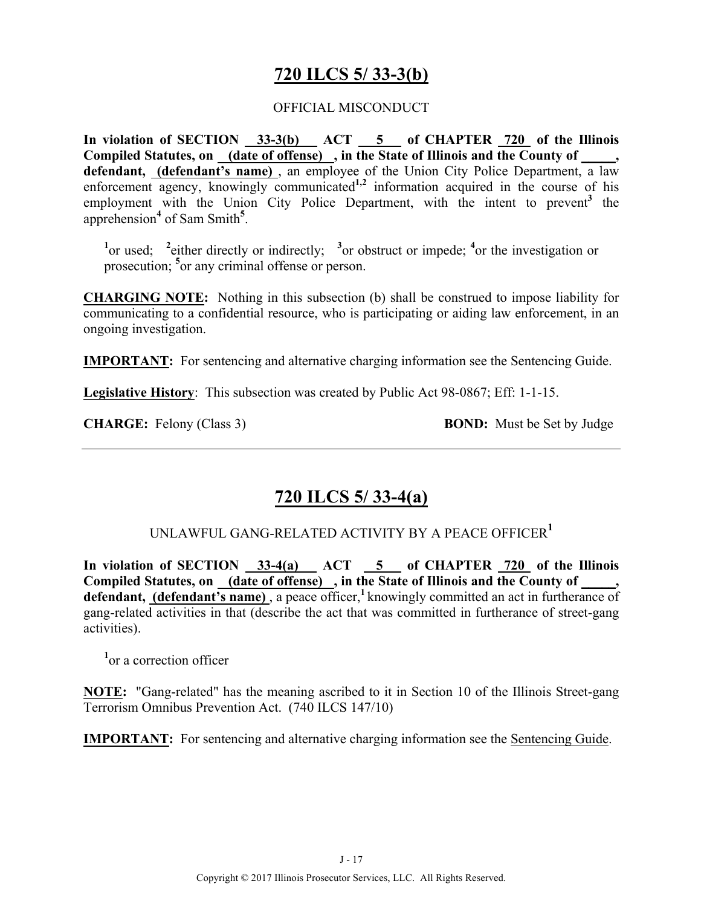# **720 ILCS 5/ 33-3(b)**

#### OFFICIAL MISCONDUCT

In violation of SECTION 33-3(b) ACT 5 of CHAPTER 720 of the Illinois **Compiled Statutes, on (date of offense) , in the State of Illinois and the County of \_\_\_\_\_,**  defendant, (defendant's name), an employee of the Union City Police Department, a law enforcement agency, knowingly communicated<sup>1,2</sup> information acquired in the course of his employment with the Union City Police Department, with the intent to prevent<sup>3</sup> the apprehension**<sup>4</sup>** of Sam Smith**<sup>5</sup>** .

<sup>1</sup><sup>or used; <sup>2</sup> either directly or indirectly; <sup>3</sup><sup>or</sup> obstruct or impede; <sup>4</sup><sup>or</sup> the investigation or</sup> prosecution; **<sup>5</sup>** or any criminal offense or person.

**CHARGING NOTE:** Nothing in this subsection (b) shall be construed to impose liability for communicating to a confidential resource, who is participating or aiding law enforcement, in an ongoing investigation.

**IMPORTANT:** For sentencing and alternative charging information see the Sentencing Guide.

**Legislative History**: This subsection was created by Public Act 98-0867; Eff: 1-1-15.

**CHARGE:** Felony (Class 3) **BOND:** Must be Set by Judge

## **720 ILCS 5/ 33-4(a)**

#### UNLAWFUL GANG-RELATED ACTIVITY BY A PEACE OFFICER**<sup>1</sup>**

In violation of SECTION 33-4(a) ACT 5 of CHAPTER 720 of the Illinois Compiled Statutes, on (date of offense), in the State of Illinois and the County of defendant, (defendant's name), a peace officer,<sup>1</sup> knowingly committed an act in furtherance of gang-related activities in that (describe the act that was committed in furtherance of street-gang activities).

**1** or a correction officer

**NOTE:** "Gang-related" has the meaning ascribed to it in Section 10 of the Illinois Street-gang Terrorism Omnibus Prevention Act. (740 ILCS 147/10)

**IMPORTANT:** For sentencing and alternative charging information see the Sentencing Guide.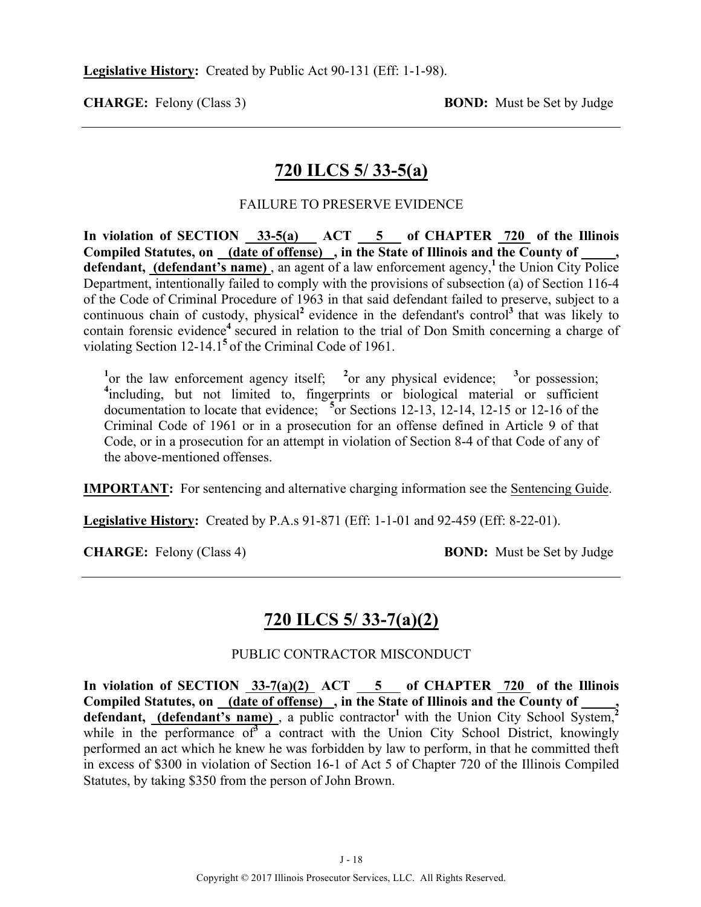# **720 ILCS 5/ 33-5(a)**

#### FAILURE TO PRESERVE EVIDENCE

In violation of SECTION  $\frac{33-5(a)}{20}$  ACT  $\frac{5}{20}$  of CHAPTER  $\frac{720}{720}$  of the Illinois **Compiled Statutes, on (date of offense) , in the State of Illinois and the County of \_\_\_\_\_, defendant, (defendant's name)**, an agent of a law enforcement agency,<sup>1</sup> the Union City Police Department, intentionally failed to comply with the provisions of subsection (a) of Section 116-4 of the Code of Criminal Procedure of 1963 in that said defendant failed to preserve, subject to a continuous chain of custody, physical<sup>2</sup> evidence in the defendant's control<sup>3</sup> that was likely to contain forensic evidence<sup>4</sup> secured in relation to the trial of Don Smith concerning a charge of violating Section 12-14.1**<sup>5</sup>**of the Criminal Code of 1961.

<sup>1</sup> or the law enforcement agency itself; <sup>2</sup> or any physical evidence; <sup>3</sup> or possession; <sup>4</sup>including, but not limited to, fingerprints or biological material or sufficient documentation to locate that evidence; **<sup>5</sup>** or Sections 12-13, 12-14, 12-15 or 12-16 of the Criminal Code of 1961 or in a prosecution for an offense defined in Article 9 of that Code, or in a prosecution for an attempt in violation of Section 8-4 of that Code of any of the above-mentioned offenses.

**IMPORTANT:** For sentencing and alternative charging information see the Sentencing Guide.

**Legislative History:** Created by P.A.s 91-871 (Eff: 1-1-01 and 92-459 (Eff: 8-22-01).

**CHARGE:** Felony (Class 4) **BOND:** Must be Set by Judge

# **720 ILCS 5/ 33-7(a)(2)**

#### PUBLIC CONTRACTOR MISCONDUCT

In violation of SECTION  $33-7(a)(2)$  ACT  $5$  of CHAPTER  $720$  of the Illinois Compiled Statutes, on <u>(date of offense)</u>, in the State of Illinois and the County of defendant, **(defendant's name)**, a public contractor<sup>1</sup> with the Union City School System,<sup>2</sup> while in the performance of<sup>3</sup> a contract with the Union City School District, knowingly performed an act which he knew he was forbidden by law to perform, in that he committed theft in excess of \$300 in violation of Section 16-1 of Act 5 of Chapter 720 of the Illinois Compiled Statutes, by taking \$350 from the person of John Brown.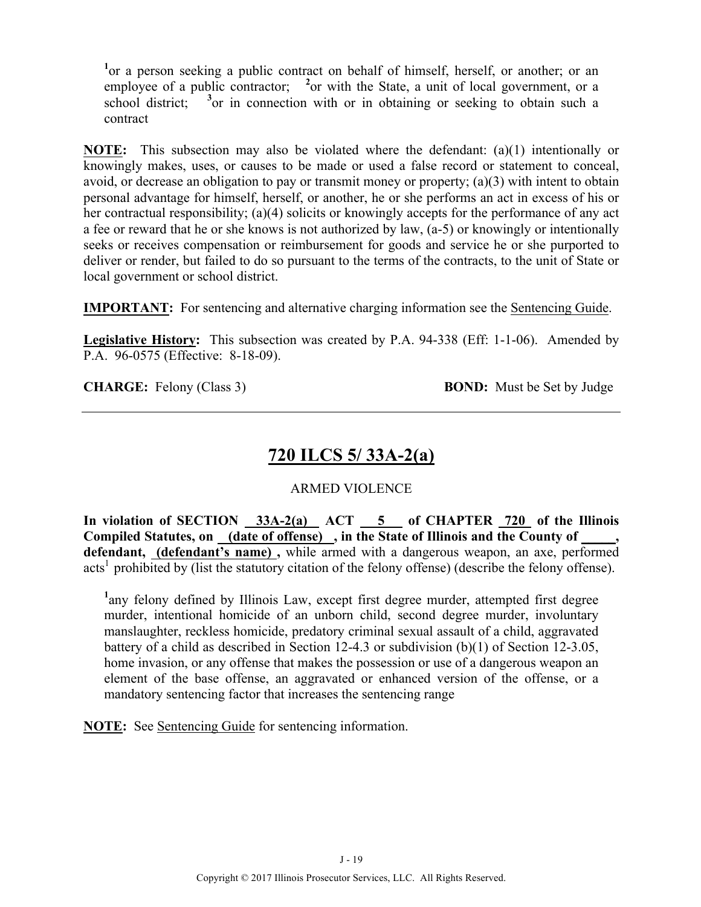<sup>1</sup> or a person seeking a public contract on behalf of himself, herself, or another; or an employee of a public contractor; <sup>2</sup> or with the State, a unit of local government, or a school district;  $3$  or in connection with or in obtaining or seeking to obtain such a contract

**NOTE:** This subsection may also be violated where the defendant: (a)(1) intentionally or knowingly makes, uses, or causes to be made or used a false record or statement to conceal, avoid, or decrease an obligation to pay or transmit money or property; (a)(3) with intent to obtain personal advantage for himself, herself, or another, he or she performs an act in excess of his or her contractual responsibility; (a)(4) solicits or knowingly accepts for the performance of any act a fee or reward that he or she knows is not authorized by law, (a-5) or knowingly or intentionally seeks or receives compensation or reimbursement for goods and service he or she purported to deliver or render, but failed to do so pursuant to the terms of the contracts, to the unit of State or local government or school district.

**IMPORTANT:** For sentencing and alternative charging information see the Sentencing Guide.

**Legislative History:** This subsection was created by P.A. 94-338 (Eff: 1-1-06). Amended by P.A. 96-0575 (Effective: 8-18-09).

**CHARGE:** Felony (Class 3) **BOND:** Must be Set by Judge

# **720 ILCS 5/ 33A-2(a)**

#### ARMED VIOLENCE

In violation of SECTION 33A-2(a) ACT 5 of CHAPTER 720 of the Illinois Compiled Statutes, on (date of offense), in the State of Illinois and the County of **defendant, (defendant's name) ,** while armed with a dangerous weapon, an axe, performed acts<sup>1</sup> prohibited by (list the statutory citation of the felony offense) (describe the felony offense).

<sup>1</sup>any felony defined by Illinois Law, except first degree murder, attempted first degree murder, intentional homicide of an unborn child, second degree murder, involuntary manslaughter, reckless homicide, predatory criminal sexual assault of a child, aggravated battery of a child as described in Section 12-4.3 or subdivision (b)(1) of Section 12-3.05, home invasion, or any offense that makes the possession or use of a dangerous weapon an element of the base offense, an aggravated or enhanced version of the offense, or a mandatory sentencing factor that increases the sentencing range

**NOTE:** See Sentencing Guide for sentencing information.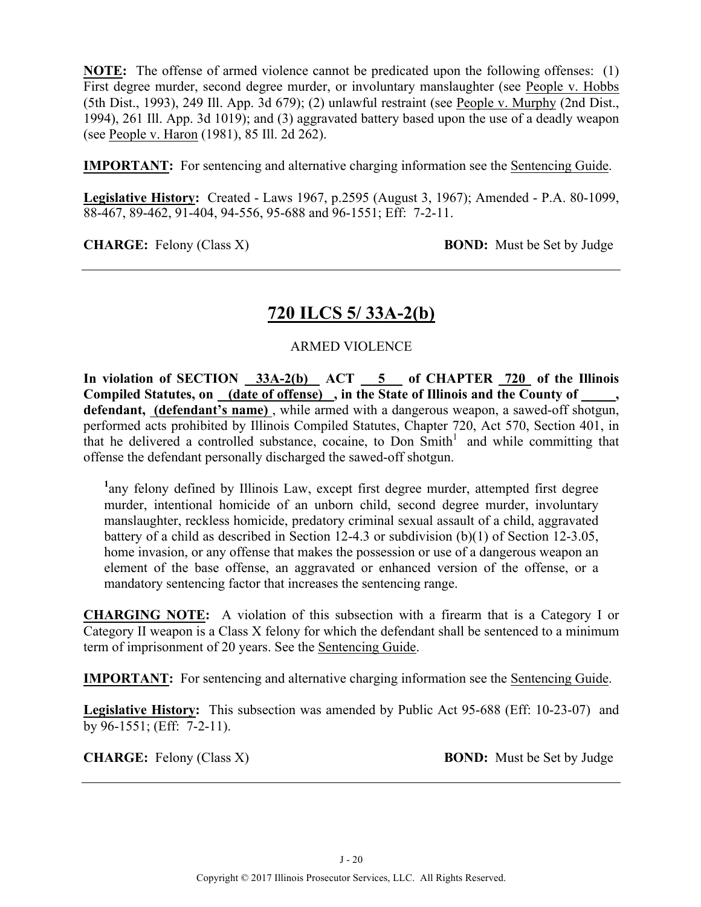**NOTE:** The offense of armed violence cannot be predicated upon the following offenses: (1) First degree murder, second degree murder, or involuntary manslaughter (see People v. Hobbs (5th Dist., 1993), 249 Ill. App. 3d 679); (2) unlawful restraint (see People v. Murphy (2nd Dist., 1994), 261 Ill. App. 3d 1019); and (3) aggravated battery based upon the use of a deadly weapon (see People v. Haron (1981), 85 Ill. 2d 262).

**IMPORTANT:** For sentencing and alternative charging information see the Sentencing Guide.

**Legislative History:** Created - Laws 1967, p.2595 (August 3, 1967); Amended - P.A. 80-1099, 88-467, 89-462, 91-404, 94-556, 95-688 and 96-1551; Eff: 7-2-11.

**CHARGE:** Felony (Class X) **BOND:** Must be Set by Judge

# **720 ILCS 5/ 33A-2(b)**

#### ARMED VIOLENCE

In violation of SECTION 33A-2(b) ACT 5 of CHAPTER 720 of the Illinois **Compiled Statutes, on (date of offense) , in the State of Illinois and the County of \_\_\_\_\_, defendant, (defendant's name)** , while armed with a dangerous weapon, a sawed-off shotgun, performed acts prohibited by Illinois Compiled Statutes, Chapter 720, Act 570, Section 401, in that he delivered a controlled substance, cocaine, to Don  $Smith<sup>1</sup>$  and while committing that offense the defendant personally discharged the sawed-off shotgun.

<sup>1</sup>any felony defined by Illinois Law, except first degree murder, attempted first degree murder, intentional homicide of an unborn child, second degree murder, involuntary manslaughter, reckless homicide, predatory criminal sexual assault of a child, aggravated battery of a child as described in Section 12-4.3 or subdivision (b)(1) of Section 12-3.05, home invasion, or any offense that makes the possession or use of a dangerous weapon an element of the base offense, an aggravated or enhanced version of the offense, or a mandatory sentencing factor that increases the sentencing range.

**CHARGING NOTE:** A violation of this subsection with a firearm that is a Category I or Category II weapon is a Class X felony for which the defendant shall be sentenced to a minimum term of imprisonment of 20 years. See the Sentencing Guide.

**IMPORTANT:** For sentencing and alternative charging information see the Sentencing Guide.

**Legislative History:** This subsection was amended by Public Act 95-688 (Eff: 10-23-07) and by 96-1551; (Eff: 7-2-11).

**CHARGE:** Felony (Class X) **BOND:** Must be Set by Judge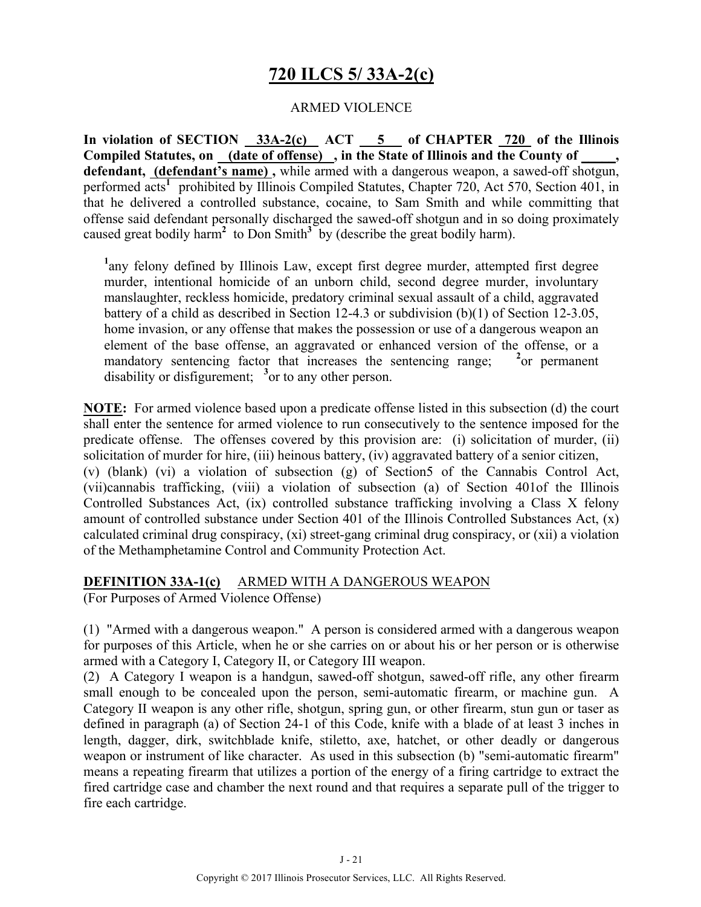# **720 ILCS 5/ 33A-2(c)**

#### ARMED VIOLENCE

**In violation of SECTION 33A-2(c) ACT 5 of CHAPTER 720 of the Illinois Compiled Statutes, on (date of offense) , in the State of Illinois and the County of \_\_\_\_\_, defendant, (defendant's name) ,** while armed with a dangerous weapon, a sawed-off shotgun, performed acts<sup>1</sup> prohibited by Illinois Compiled Statutes, Chapter 720, Act 570, Section 401, in that he delivered a controlled substance, cocaine, to Sam Smith and while committing that offense said defendant personally discharged the sawed-off shotgun and in so doing proximately caused great bodily harm<sup>2</sup> to Don Smith<sup>3</sup> by (describe the great bodily harm).

<sup>1</sup>any felony defined by Illinois Law, except first degree murder, attempted first degree murder, intentional homicide of an unborn child, second degree murder, involuntary manslaughter, reckless homicide, predatory criminal sexual assault of a child, aggravated battery of a child as described in Section 12-4.3 or subdivision (b)(1) of Section 12-3.05, home invasion, or any offense that makes the possession or use of a dangerous weapon an element of the base offense, an aggravated or enhanced version of the offense, or a mandatory sentencing factor that increases the sentencing range; **<sup>2</sup>**  $^{2}$ or permanent disability or disfigurement; <sup>3</sup> or to any other person.

**NOTE:** For armed violence based upon a predicate offense listed in this subsection (d) the court shall enter the sentence for armed violence to run consecutively to the sentence imposed for the predicate offense. The offenses covered by this provision are: (i) solicitation of murder, (ii) solicitation of murder for hire, (iii) heinous battery, (iv) aggravated battery of a senior citizen, (v) (blank) (vi) a violation of subsection (g) of Section5 of the Cannabis Control Act, (vii)cannabis trafficking, (viii) a violation of subsection (a) of Section 401of the Illinois Controlled Substances Act, (ix) controlled substance trafficking involving a Class X felony amount of controlled substance under Section 401 of the Illinois Controlled Substances Act, (x) calculated criminal drug conspiracy, (xi) street-gang criminal drug conspiracy, or (xii) a violation of the Methamphetamine Control and Community Protection Act.

**DEFINITION 33A-1(c)** ARMED WITH A DANGEROUS WEAPON

(For Purposes of Armed Violence Offense)

(1) "Armed with a dangerous weapon." A person is considered armed with a dangerous weapon for purposes of this Article, when he or she carries on or about his or her person or is otherwise armed with a Category I, Category II, or Category III weapon.

(2) A Category I weapon is a handgun, sawed-off shotgun, sawed-off rifle, any other firearm small enough to be concealed upon the person, semi-automatic firearm, or machine gun. A Category II weapon is any other rifle, shotgun, spring gun, or other firearm, stun gun or taser as defined in paragraph (a) of Section 24-1 of this Code, knife with a blade of at least 3 inches in length, dagger, dirk, switchblade knife, stiletto, axe, hatchet, or other deadly or dangerous weapon or instrument of like character. As used in this subsection (b) "semi-automatic firearm" means a repeating firearm that utilizes a portion of the energy of a firing cartridge to extract the fired cartridge case and chamber the next round and that requires a separate pull of the trigger to fire each cartridge.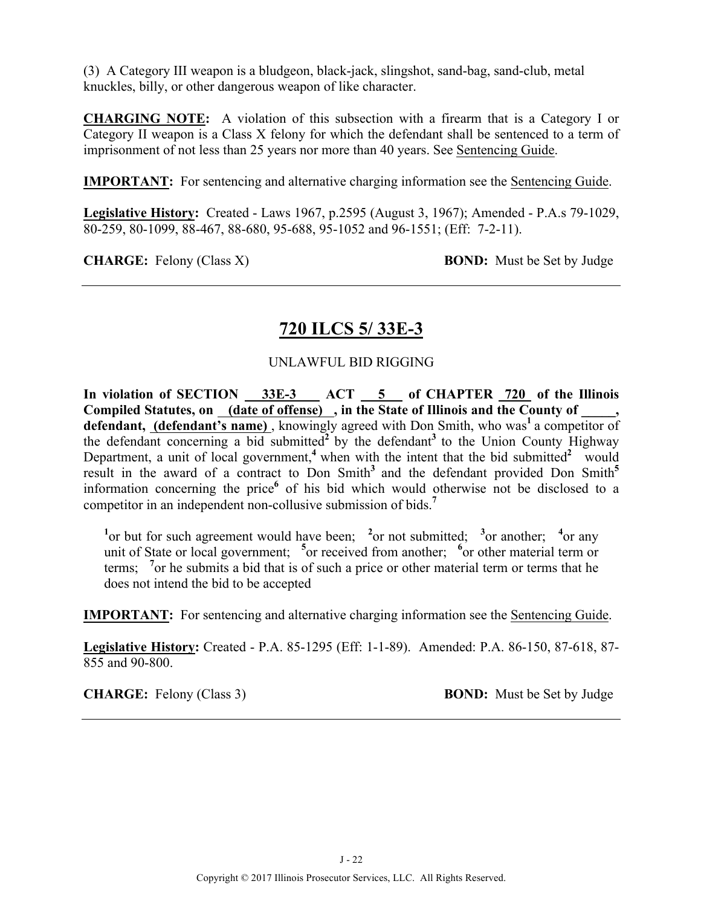(3) A Category III weapon is a bludgeon, black-jack, slingshot, sand-bag, sand-club, metal knuckles, billy, or other dangerous weapon of like character.

**CHARGING NOTE:** A violation of this subsection with a firearm that is a Category I or Category II weapon is a Class X felony for which the defendant shall be sentenced to a term of imprisonment of not less than 25 years nor more than 40 years. See Sentencing Guide.

**IMPORTANT:** For sentencing and alternative charging information see the Sentencing Guide.

**Legislative History:** Created - Laws 1967, p.2595 (August 3, 1967); Amended - P.A.s 79-1029, 80-259, 80-1099, 88-467, 88-680, 95-688, 95-1052 and 96-1551; (Eff: 7-2-11).

**CHARGE:** Felony (Class X) **BOND:** Must be Set by Judge

# **720 ILCS 5/ 33E-3**

#### UNLAWFUL BID RIGGING

**In violation of SECTION 33E-3 ACT 5 of CHAPTER 720 of the Illinois**  Compiled Statutes, on (date of offense), in the State of Illinois and the County of \_\_\_\_, **defendant, (defendant's name)**, knowingly agreed with Don Smith, who was<sup>1</sup> a competitor of the defendant concerning a bid submitted<sup>2</sup> by the defendant<sup>3</sup> to the Union County Highway Department, a unit of local government,<sup>4</sup> when with the intent that the bid submitted<sup>2</sup> would result in the award of a contract to Don Smith<sup>3</sup> and the defendant provided Don Smith<sup>5</sup> information concerning the price**<sup>6</sup>** of his bid which would otherwise not be disclosed to a competitor in an independent non-collusive submission of bids.**<sup>7</sup>**

<sup>1</sup> $\alpha$  but for such agreement would have been; <sup>2</sup> $\alpha$  not submitted; <sup>3</sup> $\alpha$  another; <sup>4</sup> $\alpha$  any unit of State or local government; <sup>5</sup> or received from another; <sup>6</sup> or other material term or terms; **<sup>7</sup>** or he submits a bid that is of such a price or other material term or terms that he does not intend the bid to be accepted

**IMPORTANT:** For sentencing and alternative charging information see the Sentencing Guide.

**Legislative History:** Created - P.A. 85-1295 (Eff: 1-1-89). Amended: P.A. 86-150, 87-618, 87- 855 and 90-800.

**CHARGE:** Felony (Class 3) **BOND:** Must be Set by Judge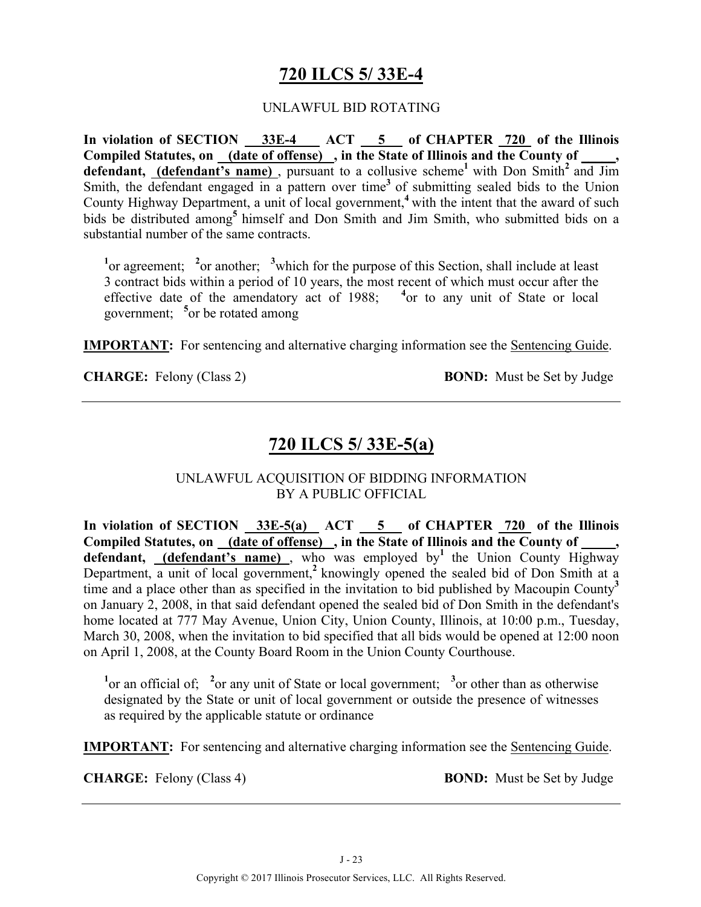# **720 ILCS 5/ 33E-4**

#### UNLAWFUL BID ROTATING

**In violation of SECTION 33E-4 ACT 5 of CHAPTER 720 of the Illinois**  Compiled Statutes, on (date of offense), in the State of Illinois and the County of **defendant, (defendant's name)** , pursuant to a collusive scheme**<sup>1</sup>**with Don Smith**<sup>2</sup>**and Jim Smith, the defendant engaged in a pattern over time<sup>3</sup> of submitting sealed bids to the Union County Highway Department, a unit of local government,**<sup>4</sup>**with the intent that the award of such bids be distributed among**<sup>5</sup>**himself and Don Smith and Jim Smith, who submitted bids on a substantial number of the same contracts.

<sup>1</sup><sup>or</sup> agreement; <sup>2</sup><sup>or</sup> another; <sup>3</sup><sup>which</sup> for the purpose of this Section, shall include at least 3 contract bids within a period of 10 years, the most recent of which must occur after the effective date of the amendatory act of 1988; <sup>4</sup> or to any unit of State or local government; **<sup>5</sup>** or be rotated among

**IMPORTANT:** For sentencing and alternative charging information see the Sentencing Guide.

**CHARGE:** Felony (Class 2) **BOND:** Must be Set by Judge

### **720 ILCS 5/ 33E-5(a)**

#### UNLAWFUL ACQUISITION OF BIDDING INFORMATION BY A PUBLIC OFFICIAL

In violation of SECTION 33E-5(a) ACT 5 of CHAPTER 720 of the Illinois **Compiled Statutes, on (date of offense) , in the State of Illinois and the County of \_\_\_\_\_, defendant,** (defendant's name), who was employed by<sup>1</sup> the Union County Highway Department, a unit of local government,**<sup>2</sup>**knowingly opened the sealed bid of Don Smith at a time and a place other than as specified in the invitation to bid published by Macoupin County**<sup>3</sup>** on January 2, 2008, in that said defendant opened the sealed bid of Don Smith in the defendant's home located at 777 May Avenue, Union City, Union County, Illinois, at 10:00 p.m., Tuesday, March 30, 2008, when the invitation to bid specified that all bids would be opened at 12:00 noon on April 1, 2008, at the County Board Room in the Union County Courthouse.

<sup>1</sup><sup>or</sup> an official of; <sup>2</sup><sup>or</sup> any unit of State or local government; <sup>3</sup><sup>or</sup> other than as otherwise designated by the State or unit of local government or outside the presence of witnesses as required by the applicable statute or ordinance

**IMPORTANT:** For sentencing and alternative charging information see the Sentencing Guide.

**CHARGE:** Felony (Class 4) **BOND:** Must be Set by Judge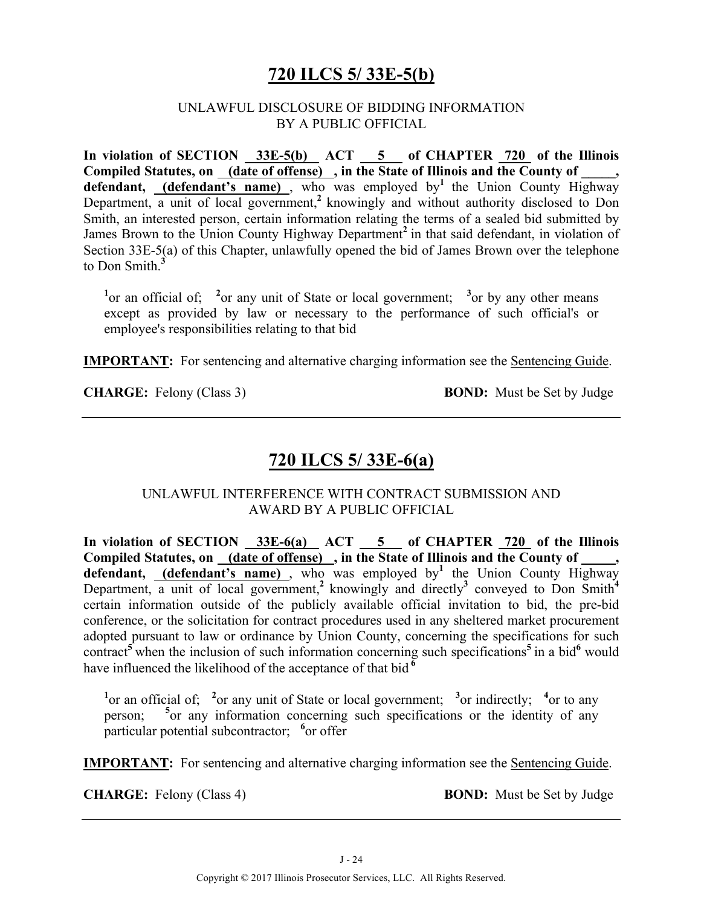# **720 ILCS 5/ 33E-5(b)**

#### UNLAWFUL DISCLOSURE OF BIDDING INFORMATION BY A PUBLIC OFFICIAL

In violation of SECTION 33E-5(b) ACT 5 of CHAPTER 720 of the Illinois Compiled Statutes, on (date of offense), in the State of Illinois and the County of  $\blacksquare$ defendant, (defendant's name), who was employed by<sup>1</sup> the Union County Highway Department, a unit of local government,<sup>2</sup> knowingly and without authority disclosed to Don Smith, an interested person, certain information relating the terms of a sealed bid submitted by James Brown to the Union County Highway Department<sup>2</sup> in that said defendant, in violation of Section 33E-5(a) of this Chapter, unlawfully opened the bid of James Brown over the telephone to Don Smith.**<sup>3</sup>**

<sup>1</sup> or an official of; <sup>2</sup> or any unit of State or local government; <sup>3</sup> or by any other means except as provided by law or necessary to the performance of such official's or employee's responsibilities relating to that bid

**IMPORTANT:** For sentencing and alternative charging information see the Sentencing Guide.

**CHARGE:** Felony (Class 3) **BOND:** Must be Set by Judge

# **720 ILCS 5/ 33E-6(a)**

#### UNLAWFUL INTERFERENCE WITH CONTRACT SUBMISSION AND AWARD BY A PUBLIC OFFICIAL

In violation of SECTION 33E-6(a) ACT 5 of CHAPTER 720 of the Illinois Compiled Statutes, on (date of offense), in the State of Illinois and the County of, **defendant, (defendant's name)** , who was employed by**<sup>1</sup>** the Union County Highway Department, a unit of local government,<sup>2</sup> knowingly and directly<sup>3</sup> conveyed to Don Smith<sup>4</sup> certain information outside of the publicly available official invitation to bid, the pre-bid conference, or the solicitation for contract procedures used in any sheltered market procurement adopted pursuant to law or ordinance by Union County, concerning the specifications for such contract**<sup>5</sup>**when the inclusion of such information concerning such specifications**<sup>5</sup>**in a bid**<sup>6</sup>** would have influenced the likelihood of the acceptance of that bid **<sup>6</sup>**

<sup>1</sup><sup>or</sup> an official of; <sup>2</sup><sup>or</sup> any unit of State or local government; <sup>3</sup><sup>or</sup> indirectly; <sup>4</sup><sup>or</sup> to any person; **<sup>5</sup>**  $5$  or any information concerning such specifications or the identity of any particular potential subcontractor; <sup>6</sup> or offer

**IMPORTANT:** For sentencing and alternative charging information see the Sentencing Guide.

**CHARGE:** Felony (Class 4) **BOND:** Must be Set by Judge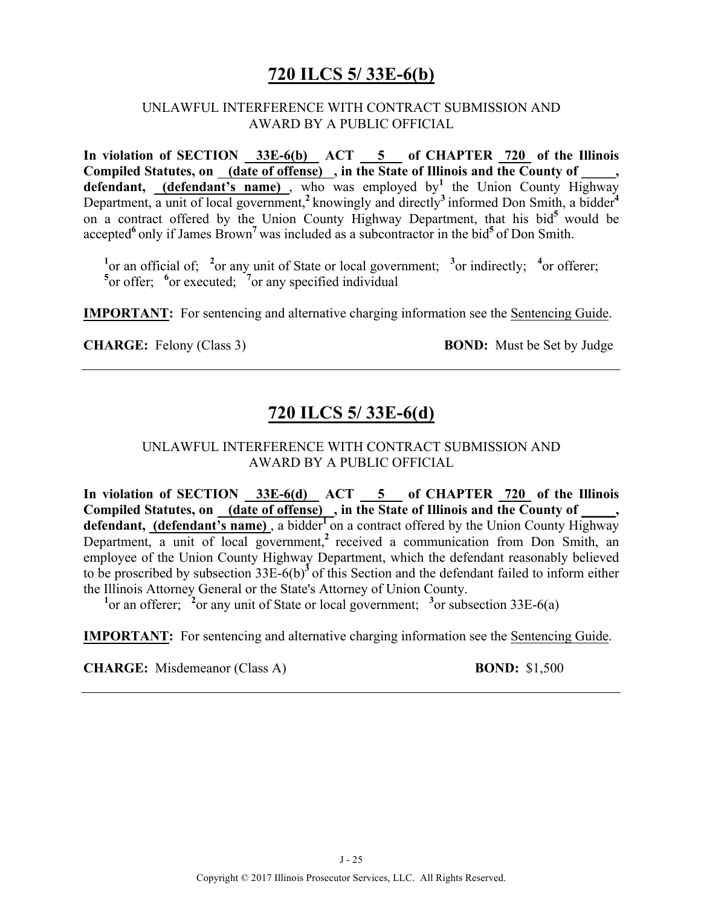# **720 ILCS 5/ 33E-6(b)**

#### UNLAWFUL INTERFERENCE WITH CONTRACT SUBMISSION AND AWARD BY A PUBLIC OFFICIAL

In violation of SECTION 33E-6(b) ACT 5 of CHAPTER 720 of the Illinois **Compiled Statutes, on (date of offense) , in the State of Illinois and the County of \_\_\_\_\_, defendant, (defendant's name)** , who was employed by**<sup>1</sup>** the Union County Highway Department, a unit of local government,<sup>2</sup> knowingly and directly<sup>3</sup> informed Don Smith, a bidder<sup>4</sup> on a contract offered by the Union County Highway Department, that his bid<sup>5</sup> would be accepted**<sup>6</sup>**only if James Brown**<sup>7</sup>**was included as a subcontractor in the bid**<sup>5</sup>**of Don Smith.

<sup>1</sup> $\alpha$  or an official of; <sup>2</sup> $\alpha$  any unit of State or local government; <sup>3</sup> $\alpha$  indirectly; <sup>4</sup> $\alpha$  offerer; <sup>5</sup><sup>or</sup> offer; <sup>6</sup><sup>or</sup> executed; <sup>7</sup><sup>or</sup> any specified individual

**IMPORTANT:** For sentencing and alternative charging information see the Sentencing Guide.

**CHARGE:** Felony (Class 3) **BOND:** Must be Set by Judge

# **720 ILCS 5/ 33E-6(d)**

#### UNLAWFUL INTERFERENCE WITH CONTRACT SUBMISSION AND AWARD BY A PUBLIC OFFICIAL

In violation of SECTION 33E-6(d) ACT 5 of CHAPTER 720 of the Illinois Compiled Statutes, on \_(date of offense) \_, in the State of Illinois and the County of \_ defendant, (defendant's name), a bidder<sup>1</sup> on a contract offered by the Union County Highway Department, a unit of local government,<sup>2</sup> received a communication from Don Smith, an employee of the Union County Highway Department, which the defendant reasonably believed to be proscribed by subsection 33E-6(b)**<sup>3</sup>**of this Section and the defendant failed to inform either the Illinois Attorney General or the State's Attorney of Union County.

<sup>1</sup> or an offerer; <sup>2</sup> or any unit of State or local government; <sup>3</sup> or subsection  $33E-6(a)$ 

**IMPORTANT:** For sentencing and alternative charging information see the Sentencing Guide.

**CHARGE:** Misdemeanor (Class A) **BOND:** \$1,500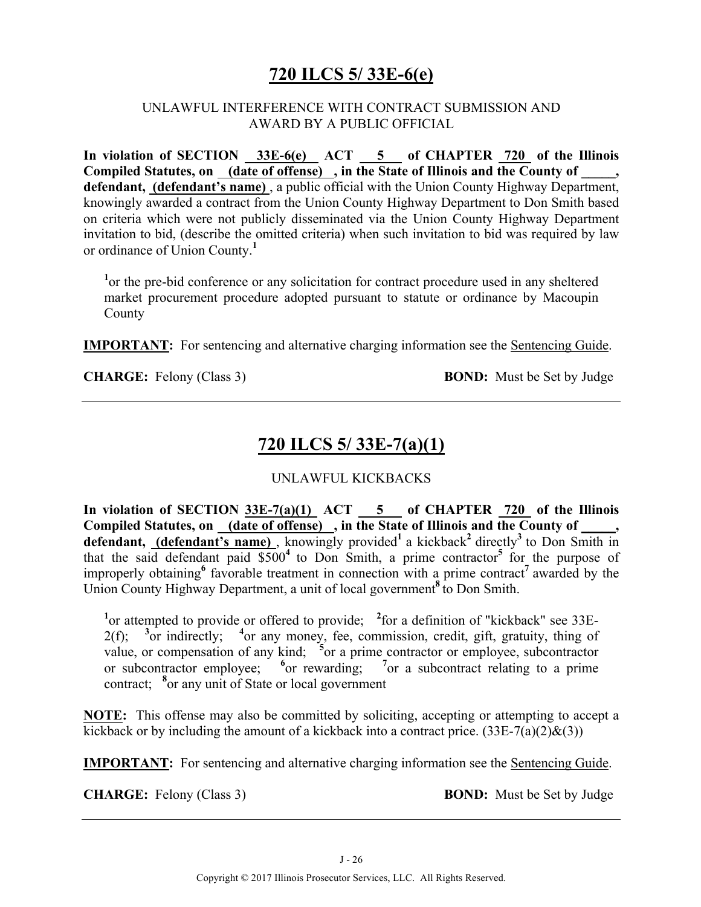# **720 ILCS 5/ 33E-6(e)**

#### UNLAWFUL INTERFERENCE WITH CONTRACT SUBMISSION AND AWARD BY A PUBLIC OFFICIAL

In violation of SECTION 33E-6(e) ACT 5 of CHAPTER 720 of the Illinois **Compiled Statutes, on (date of offense) , in the State of Illinois and the County of \_\_\_\_\_, defendant, (defendant's name)** , a public official with the Union County Highway Department, knowingly awarded a contract from the Union County Highway Department to Don Smith based on criteria which were not publicly disseminated via the Union County Highway Department invitation to bid, (describe the omitted criteria) when such invitation to bid was required by law or ordinance of Union County.**<sup>1</sup>**

<sup>1</sup> or the pre-bid conference or any solicitation for contract procedure used in any sheltered market procurement procedure adopted pursuant to statute or ordinance by Macoupin County

**IMPORTANT:** For sentencing and alternative charging information see the Sentencing Guide.

**CHARGE:** Felony (Class 3) **BOND:** Must be Set by Judge

# **720 ILCS 5/ 33E-7(a)(1)**

#### UNLAWFUL KICKBACKS

**In violation of SECTION 33E-7(a)(1) ACT 5 of CHAPTER 720 of the Illinois**  Compiled Statutes, on (date of offense), in the State of Illinois and the County of **defendant, (defendant's name)**, knowingly provided<sup>1</sup> a kickback<sup>2</sup> directly<sup>3</sup> to Don Smith in that the said defendant paid  $$500<sup>4</sup>$  to Don Smith, a prime contractor<sup>5</sup> for the purpose of improperly obtaining**<sup>6</sup>** favorable treatment in connection with a prime contract**<sup>7</sup>**awarded by the Union County Highway Department, a unit of local government**<sup>8</sup>**to Don Smith.

<sup>1</sup> or attempted to provide or offered to provide; <sup>2</sup> for a definition of "kickback" see 33E- $2(f)$ ; or indirectly; <sup>4</sup> or any money, fee, commission, credit, gift, gratuity, thing of value, or compensation of any kind; <sup>5</sup> or a prime contractor or employee, subcontractor or subcontractor employee; **<sup>6</sup>** or rewarding; **<sup>7</sup>** or a subcontract relating to a prime contract; <sup>8</sup> or any unit of State or local government

**NOTE:** This offense may also be committed by soliciting, accepting or attempting to accept a kickback or by including the amount of a kickback into a contract price.  $(33E-7(a)(2)\&(3))$ 

**IMPORTANT:** For sentencing and alternative charging information see the Sentencing Guide.

**CHARGE:** Felony (Class 3) **BOND:** Must be Set by Judge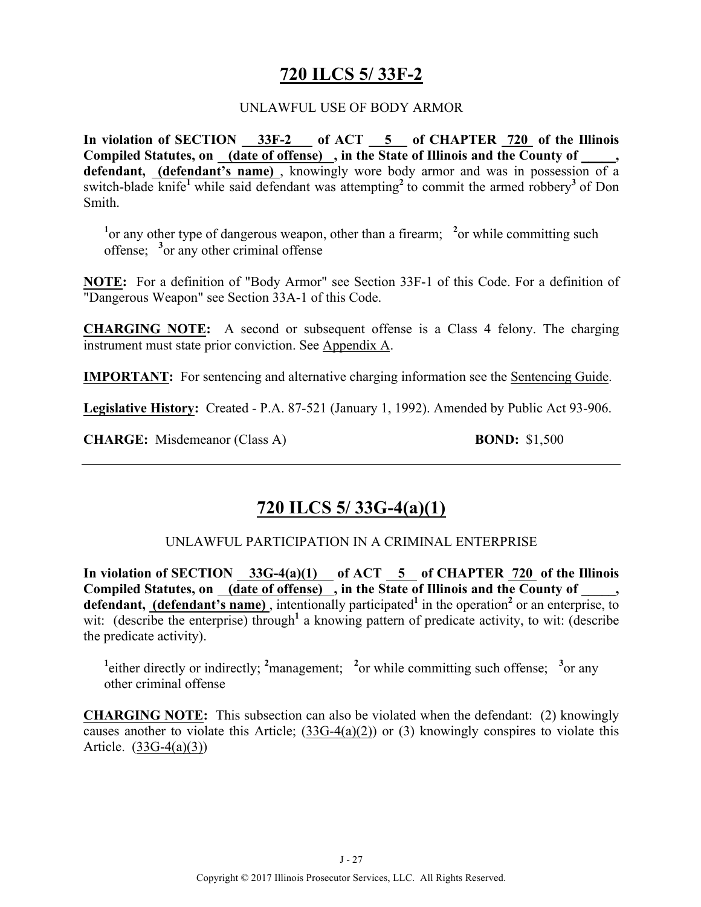# **720 ILCS 5/ 33F-2**

#### UNLAWFUL USE OF BODY ARMOR

**In violation of SECTION 33F-2 of ACT 5 of CHAPTER 720 of the Illinois Compiled Statutes, on (date of offense) , in the State of Illinois and the County of \_\_\_\_\_, defendant, (defendant's name)** , knowingly wore body armor and was in possession of a switch-blade knife<sup>1</sup> while said defendant was attempting<sup>2</sup> to commit the armed robbery<sup>3</sup> of Don Smith.

<sup>1</sup> or any other type of dangerous weapon, other than a firearm; <sup>2</sup> or while committing such offense; **<sup>3</sup>** or any other criminal offense

**NOTE:** For a definition of "Body Armor" see Section 33F-1 of this Code. For a definition of "Dangerous Weapon" see Section 33A-1 of this Code.

**CHARGING NOTE:** A second or subsequent offense is a Class 4 felony. The charging instrument must state prior conviction. See Appendix A.

**IMPORTANT:** For sentencing and alternative charging information see the Sentencing Guide.

**Legislative History:** Created - P.A. 87-521 (January 1, 1992). Amended by Public Act 93-906.

**CHARGE:** Misdemeanor (Class A) **BOND:** \$1,500

# **720 ILCS 5/ 33G-4(a)(1)**

#### UNLAWFUL PARTICIPATION IN A CRIMINAL ENTERPRISE

In violation of SECTION  $33G-4(a)(1)$  of ACT  $5$  of CHAPTER  $720$  of the Illinois Compiled Statutes, on (date of offense), in the State of Illinois and the County of defendant, (defendant's name), intentionally participated<sup>1</sup> in the operation<sup>2</sup> or an enterprise, to wit: (describe the enterprise) through<sup>1</sup> a knowing pattern of predicate activity, to wit: (describe the predicate activity).

<sup>1</sup> either directly or indirectly; <sup>2</sup> management; <sup>2</sup> or while committing such offense; <sup>3</sup> or any other criminal offense

**CHARGING NOTE:** This subsection can also be violated when the defendant:(2) knowingly causes another to violate this Article; (33G-4(a)(2)) or (3) knowingly conspires to violate this Article. (33G-4(a)(3))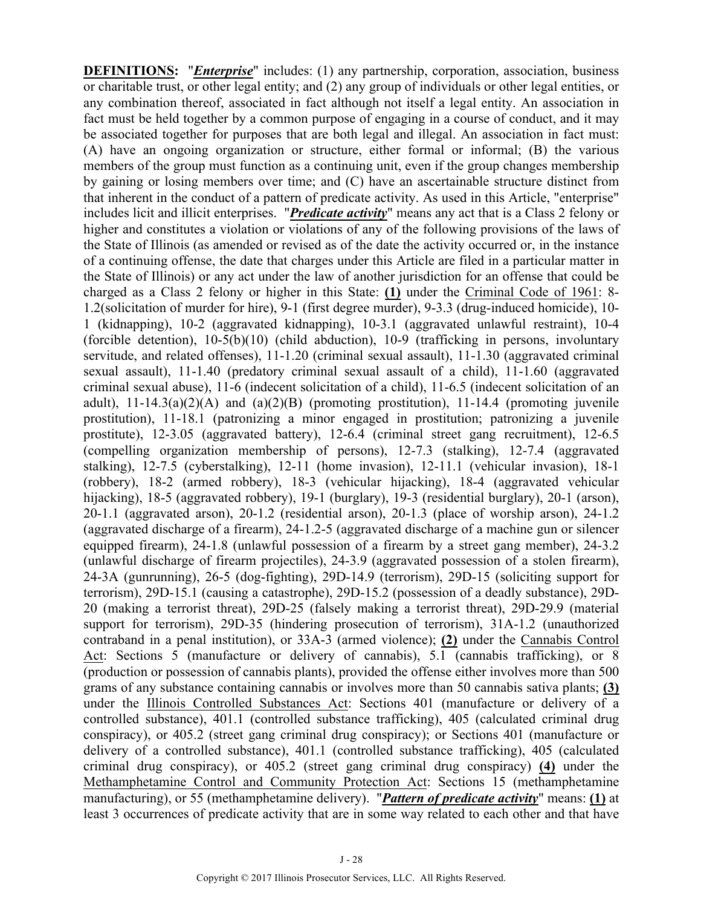**DEFINITIONS:** "*Enterprise*" includes: (1) any partnership, corporation, association, business or charitable trust, or other legal entity; and (2) any group of individuals or other legal entities, or any combination thereof, associated in fact although not itself a legal entity. An association in fact must be held together by a common purpose of engaging in a course of conduct, and it may be associated together for purposes that are both legal and illegal. An association in fact must: (A) have an ongoing organization or structure, either formal or informal; (B) the various members of the group must function as a continuing unit, even if the group changes membership by gaining or losing members over time; and (C) have an ascertainable structure distinct from that inherent in the conduct of a pattern of predicate activity. As used in this Article, "enterprise" includes licit and illicit enterprises. "*Predicate activity*" means any act that is a Class 2 felony or higher and constitutes a violation or violations of any of the following provisions of the laws of the State of Illinois (as amended or revised as of the date the activity occurred or, in the instance of a continuing offense, the date that charges under this Article are filed in a particular matter in the State of Illinois) or any act under the law of another jurisdiction for an offense that could be charged as a Class 2 felony or higher in this State: **(1)** under the Criminal Code of 1961: 8- 1.2(solicitation of murder for hire), 9-1 (first degree murder), 9-3.3 (drug-induced homicide), 10- 1 (kidnapping), 10-2 (aggravated kidnapping), 10-3.1 (aggravated unlawful restraint), 10-4 (forcible detention), 10-5(b)(10) (child abduction), 10-9 (trafficking in persons, involuntary servitude, and related offenses), 11-1.20 (criminal sexual assault), 11-1.30 (aggravated criminal sexual assault), 11-1.40 (predatory criminal sexual assault of a child), 11-1.60 (aggravated criminal sexual abuse), 11-6 (indecent solicitation of a child), 11-6.5 (indecent solicitation of an adult),  $11-14.3(a)(2)(A)$  and  $(a)(2)(B)$  (promoting prostitution),  $11-14.4$  (promoting juvenile prostitution), 11-18.1 (patronizing a minor engaged in prostitution; patronizing a juvenile prostitute), 12-3.05 (aggravated battery), 12-6.4 (criminal street gang recruitment), 12-6.5 (compelling organization membership of persons), 12-7.3 (stalking), 12-7.4 (aggravated stalking), 12-7.5 (cyberstalking), 12-11 (home invasion), 12-11.1 (vehicular invasion), 18-1 (robbery), 18-2 (armed robbery), 18-3 (vehicular hijacking), 18-4 (aggravated vehicular hijacking), 18-5 (aggravated robbery), 19-1 (burglary), 19-3 (residential burglary), 20-1 (arson), 20-1.1 (aggravated arson), 20-1.2 (residential arson), 20-1.3 (place of worship arson), 24-1.2 (aggravated discharge of a firearm), 24-1.2-5 (aggravated discharge of a machine gun or silencer equipped firearm), 24-1.8 (unlawful possession of a firearm by a street gang member), 24-3.2 (unlawful discharge of firearm projectiles), 24-3.9 (aggravated possession of a stolen firearm), 24-3A (gunrunning), 26-5 (dog-fighting), 29D-14.9 (terrorism), 29D-15 (soliciting support for terrorism), 29D-15.1 (causing a catastrophe), 29D-15.2 (possession of a deadly substance), 29D-20 (making a terrorist threat), 29D-25 (falsely making a terrorist threat), 29D-29.9 (material support for terrorism), 29D-35 (hindering prosecution of terrorism), 31A-1.2 (unauthorized contraband in a penal institution), or 33A-3 (armed violence); **(2)** under the Cannabis Control Act: Sections 5 (manufacture or delivery of cannabis), 5.1 (cannabis trafficking), or 8 (production or possession of cannabis plants), provided the offense either involves more than 500 grams of any substance containing cannabis or involves more than 50 cannabis sativa plants; **(3)** under the Illinois Controlled Substances Act: Sections 401 (manufacture or delivery of a controlled substance), 401.1 (controlled substance trafficking), 405 (calculated criminal drug conspiracy), or 405.2 (street gang criminal drug conspiracy); or Sections 401 (manufacture or delivery of a controlled substance), 401.1 (controlled substance trafficking), 405 (calculated criminal drug conspiracy), or 405.2 (street gang criminal drug conspiracy) **(4)** under the Methamphetamine Control and Community Protection Act: Sections 15 (methamphetamine manufacturing), or 55 (methamphetamine delivery)."*Pattern of predicate activity*" means: **(1)** at least 3 occurrences of predicate activity that are in some way related to each other and that have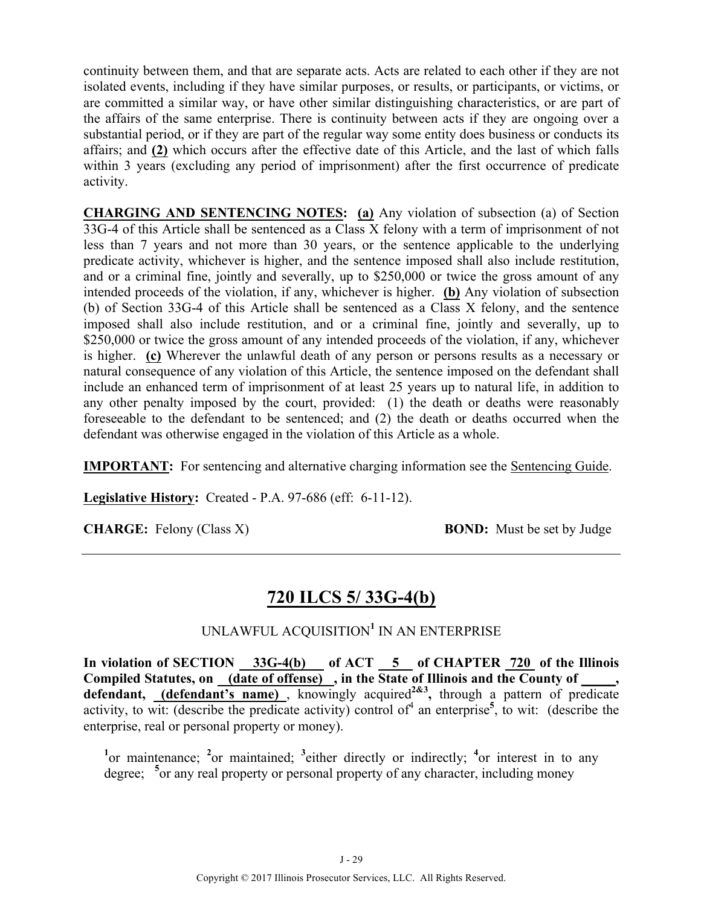continuity between them, and that are separate acts. Acts are related to each other if they are not isolated events, including if they have similar purposes, or results, or participants, or victims, or are committed a similar way, or have other similar distinguishing characteristics, or are part of the affairs of the same enterprise. There is continuity between acts if they are ongoing over a substantial period, or if they are part of the regular way some entity does business or conducts its affairs; and **(2)** which occurs after the effective date of this Article, and the last of which falls within 3 years (excluding any period of imprisonment) after the first occurrence of predicate activity.

**CHARGING AND SENTENCING NOTES: (a)** Any violation of subsection (a) of Section 33G-4 of this Article shall be sentenced as a Class X felony with a term of imprisonment of not less than 7 years and not more than 30 years, or the sentence applicable to the underlying predicate activity, whichever is higher, and the sentence imposed shall also include restitution, and or a criminal fine, jointly and severally, up to \$250,000 or twice the gross amount of any intended proceeds of the violation, if any, whichever is higher. **(b)** Any violation of subsection (b) of Section 33G-4 of this Article shall be sentenced as a Class X felony, and the sentence imposed shall also include restitution, and or a criminal fine, jointly and severally, up to \$250,000 or twice the gross amount of any intended proceeds of the violation, if any, whichever is higher. **(c)** Wherever the unlawful death of any person or persons results as a necessary or natural consequence of any violation of this Article, the sentence imposed on the defendant shall include an enhanced term of imprisonment of at least 25 years up to natural life, in addition to any other penalty imposed by the court, provided: (1) the death or deaths were reasonably foreseeable to the defendant to be sentenced; and (2) the death or deaths occurred when the defendant was otherwise engaged in the violation of this Article as a whole.

**IMPORTANT:** For sentencing and alternative charging information see the Sentencing Guide.

**Legislative History:** Created - P.A. 97-686 (eff: 6-11-12).

**CHARGE:** Felony (Class X) **BOND:** Must be set by Judge

# **720 ILCS 5/ 33G-4(b)**

#### UNLAWFUL ACQUISITION**<sup>1</sup>** IN AN ENTERPRISE

In violation of SECTION 33G-4(b) of ACT 5 of CHAPTER 720 of the Illinois Compiled Statutes, on <u>(date of offense)</u>, in the State of Illinois and the County of \_\_\_\_\_, defendant, *(defendant's name)*, knowingly acquired<sup>2&3</sup>, through a pattern of predicate activity, to wit: (describe the predicate activity) control of<sup>4</sup> an enterprise<sup>5</sup>, to wit: (describe the enterprise, real or personal property or money).

<sup>1</sup><sup>or</sup> maintenance; <sup>2</sup><sup>or</sup> maintained; <sup>3</sup> either directly or indirectly; <sup>4</sup><sup>or</sup> interest in to any degree; <sup>5</sup> or any real property or personal property of any character, including money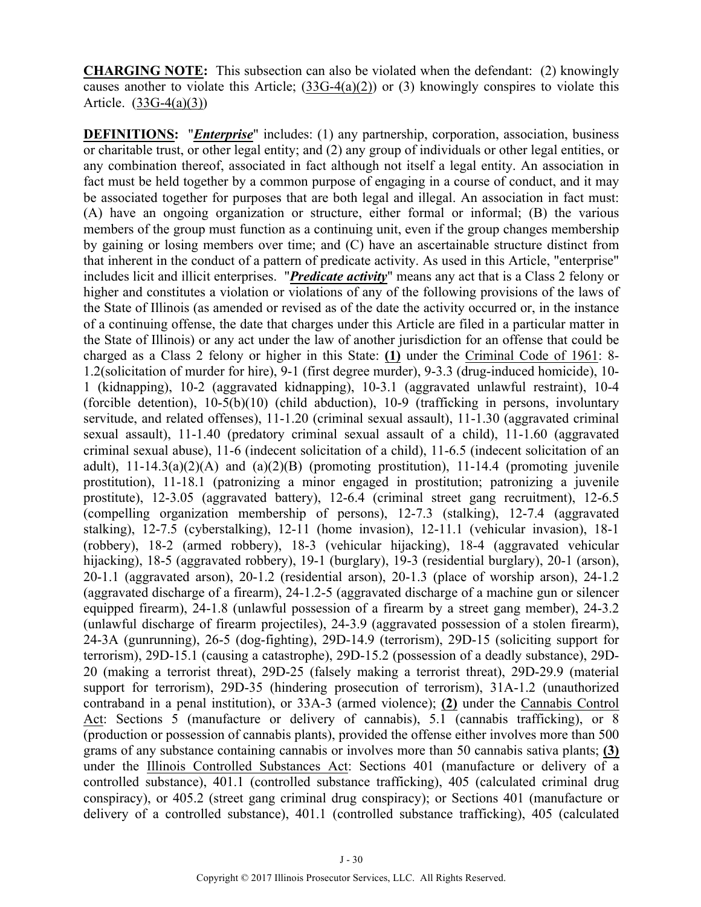**CHARGING NOTE:** This subsection can also be violated when the defendant:(2) knowingly causes another to violate this Article; (33G-4(a)(2)) or (3) knowingly conspires to violate this Article. (33G-4(a)(3))

**DEFINITIONS:** "*Enterprise*" includes: (1) any partnership, corporation, association, business or charitable trust, or other legal entity; and (2) any group of individuals or other legal entities, or any combination thereof, associated in fact although not itself a legal entity. An association in fact must be held together by a common purpose of engaging in a course of conduct, and it may be associated together for purposes that are both legal and illegal. An association in fact must: (A) have an ongoing organization or structure, either formal or informal; (B) the various members of the group must function as a continuing unit, even if the group changes membership by gaining or losing members over time; and (C) have an ascertainable structure distinct from that inherent in the conduct of a pattern of predicate activity. As used in this Article, "enterprise" includes licit and illicit enterprises. "*Predicate activity*" means any act that is a Class 2 felony or higher and constitutes a violation or violations of any of the following provisions of the laws of the State of Illinois (as amended or revised as of the date the activity occurred or, in the instance of a continuing offense, the date that charges under this Article are filed in a particular matter in the State of Illinois) or any act under the law of another jurisdiction for an offense that could be charged as a Class 2 felony or higher in this State: **(1)** under the Criminal Code of 1961: 8- 1.2(solicitation of murder for hire), 9-1 (first degree murder), 9-3.3 (drug-induced homicide), 10- 1 (kidnapping), 10-2 (aggravated kidnapping), 10-3.1 (aggravated unlawful restraint), 10-4 (forcible detention), 10-5(b)(10) (child abduction), 10-9 (trafficking in persons, involuntary servitude, and related offenses), 11-1.20 (criminal sexual assault), 11-1.30 (aggravated criminal sexual assault), 11-1.40 (predatory criminal sexual assault of a child), 11-1.60 (aggravated criminal sexual abuse), 11-6 (indecent solicitation of a child), 11-6.5 (indecent solicitation of an adult),  $11-14.3(a)(2)(A)$  and  $(a)(2)(B)$  (promoting prostitution),  $11-14.4$  (promoting juvenile prostitution), 11-18.1 (patronizing a minor engaged in prostitution; patronizing a juvenile prostitute), 12-3.05 (aggravated battery), 12-6.4 (criminal street gang recruitment), 12-6.5 (compelling organization membership of persons), 12-7.3 (stalking), 12-7.4 (aggravated stalking), 12-7.5 (cyberstalking), 12-11 (home invasion), 12-11.1 (vehicular invasion), 18-1 (robbery), 18-2 (armed robbery), 18-3 (vehicular hijacking), 18-4 (aggravated vehicular hijacking), 18-5 (aggravated robbery), 19-1 (burglary), 19-3 (residential burglary), 20-1 (arson), 20-1.1 (aggravated arson), 20-1.2 (residential arson), 20-1.3 (place of worship arson), 24-1.2 (aggravated discharge of a firearm), 24-1.2-5 (aggravated discharge of a machine gun or silencer equipped firearm), 24-1.8 (unlawful possession of a firearm by a street gang member), 24-3.2 (unlawful discharge of firearm projectiles), 24-3.9 (aggravated possession of a stolen firearm), 24-3A (gunrunning), 26-5 (dog-fighting), 29D-14.9 (terrorism), 29D-15 (soliciting support for terrorism), 29D-15.1 (causing a catastrophe), 29D-15.2 (possession of a deadly substance), 29D-20 (making a terrorist threat), 29D-25 (falsely making a terrorist threat), 29D-29.9 (material support for terrorism), 29D-35 (hindering prosecution of terrorism), 31A-1.2 (unauthorized contraband in a penal institution), or 33A-3 (armed violence); **(2)** under the Cannabis Control Act: Sections 5 (manufacture or delivery of cannabis), 5.1 (cannabis trafficking), or 8 (production or possession of cannabis plants), provided the offense either involves more than 500 grams of any substance containing cannabis or involves more than 50 cannabis sativa plants; **(3)** under the Illinois Controlled Substances Act: Sections 401 (manufacture or delivery of a controlled substance), 401.1 (controlled substance trafficking), 405 (calculated criminal drug conspiracy), or 405.2 (street gang criminal drug conspiracy); or Sections 401 (manufacture or delivery of a controlled substance), 401.1 (controlled substance trafficking), 405 (calculated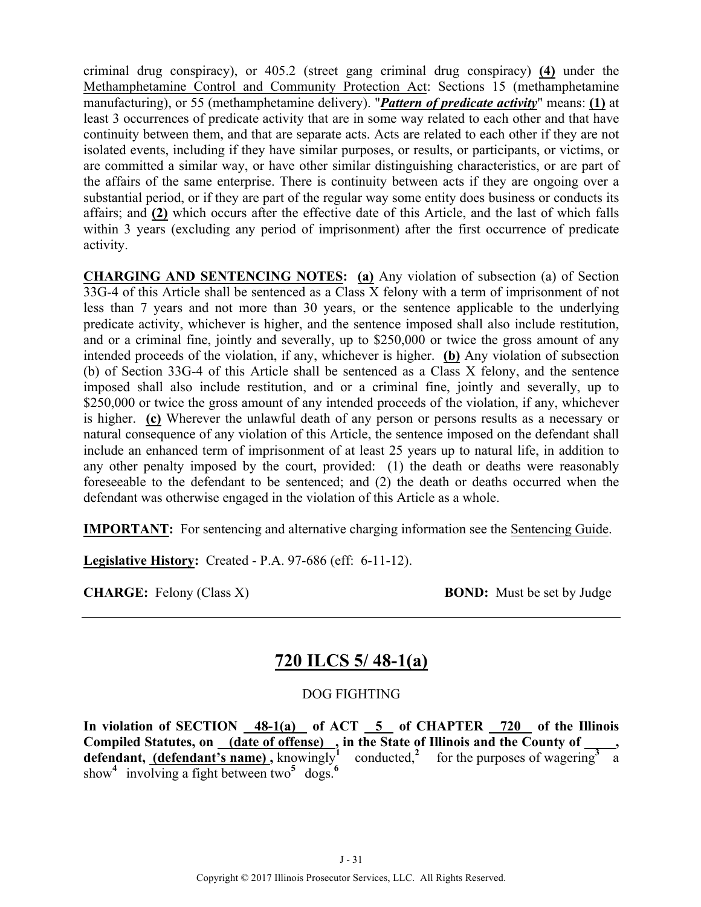criminal drug conspiracy), or 405.2 (street gang criminal drug conspiracy) **(4)** under the Methamphetamine Control and Community Protection Act: Sections 15 (methamphetamine manufacturing), or 55 (methamphetamine delivery). "*Pattern of predicate activity*" means: **(1)** at least 3 occurrences of predicate activity that are in some way related to each other and that have continuity between them, and that are separate acts. Acts are related to each other if they are not isolated events, including if they have similar purposes, or results, or participants, or victims, or are committed a similar way, or have other similar distinguishing characteristics, or are part of the affairs of the same enterprise. There is continuity between acts if they are ongoing over a substantial period, or if they are part of the regular way some entity does business or conducts its affairs; and **(2)** which occurs after the effective date of this Article, and the last of which falls within 3 years (excluding any period of imprisonment) after the first occurrence of predicate activity.

**CHARGING AND SENTENCING NOTES: (a)** Any violation of subsection (a) of Section 33G-4 of this Article shall be sentenced as a Class X felony with a term of imprisonment of not less than 7 years and not more than 30 years, or the sentence applicable to the underlying predicate activity, whichever is higher, and the sentence imposed shall also include restitution, and or a criminal fine, jointly and severally, up to \$250,000 or twice the gross amount of any intended proceeds of the violation, if any, whichever is higher. **(b)** Any violation of subsection (b) of Section 33G-4 of this Article shall be sentenced as a Class X felony, and the sentence imposed shall also include restitution, and or a criminal fine, jointly and severally, up to \$250,000 or twice the gross amount of any intended proceeds of the violation, if any, whichever is higher. **(c)** Wherever the unlawful death of any person or persons results as a necessary or natural consequence of any violation of this Article, the sentence imposed on the defendant shall include an enhanced term of imprisonment of at least 25 years up to natural life, in addition to any other penalty imposed by the court, provided: (1) the death or deaths were reasonably foreseeable to the defendant to be sentenced; and (2) the death or deaths occurred when the defendant was otherwise engaged in the violation of this Article as a whole.

**IMPORTANT:** For sentencing and alternative charging information see the Sentencing Guide.

**Legislative History:** Created - P.A. 97-686 (eff: 6-11-12).

**CHARGE:** Felony (Class X) **BOND:** Must be set by Judge

## **720 ILCS 5/ 48-1(a)**

#### DOG FIGHTING

**In violation of SECTION 48-1(a) of ACT 5 of CHAPTER 720 of the Illinois**  Compiled Statutes, on (date of offense), in the State of Illinois and the County of **defendant, (defendant's name)**, knowingly<sup>1</sup> conducted,<sup>2</sup> for the purposes of wagering  $\frac{3}{4}$ show<sup>4</sup> involving a fight between two<sup>5</sup> dogs.<sup>6</sup>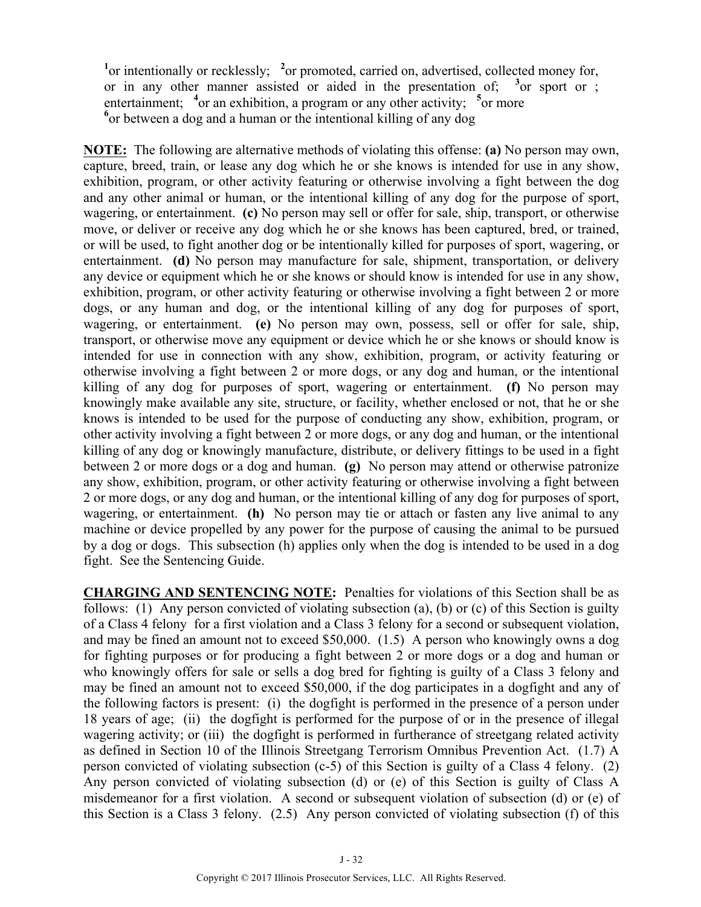<sup>1</sup> or intentionally or recklessly; <sup>2</sup> or promoted, carried on, advertised, collected money for, or in any other manner assisted or aided in the presentation of;  $3$  or sport or ; entertainment; <sup>4</sup> or an exhibition, a program or any other activity; <sup>5</sup> or more <sup>6</sup> or between a dog and a human or the intentional killing of any dog

**NOTE:** The following are alternative methods of violating this offense: **(a)** No person may own, capture, breed, train, or lease any dog which he or she knows is intended for use in any show, exhibition, program, or other activity featuring or otherwise involving a fight between the dog and any other animal or human, or the intentional killing of any dog for the purpose of sport, wagering, or entertainment. **(c)** No person may sell or offer for sale, ship, transport, or otherwise move, or deliver or receive any dog which he or she knows has been captured, bred, or trained, or will be used, to fight another dog or be intentionally killed for purposes of sport, wagering, or entertainment. **(d)** No person may manufacture for sale, shipment, transportation, or delivery any device or equipment which he or she knows or should know is intended for use in any show, exhibition, program, or other activity featuring or otherwise involving a fight between 2 or more dogs, or any human and dog, or the intentional killing of any dog for purposes of sport, wagering, or entertainment. **(e)** No person may own, possess, sell or offer for sale, ship, transport, or otherwise move any equipment or device which he or she knows or should know is intended for use in connection with any show, exhibition, program, or activity featuring or otherwise involving a fight between 2 or more dogs, or any dog and human, or the intentional killing of any dog for purposes of sport, wagering or entertainment. **(f)** No person may knowingly make available any site, structure, or facility, whether enclosed or not, that he or she knows is intended to be used for the purpose of conducting any show, exhibition, program, or other activity involving a fight between 2 or more dogs, or any dog and human, or the intentional killing of any dog or knowingly manufacture, distribute, or delivery fittings to be used in a fight between 2 or more dogs or a dog and human. **(g)** No person may attend or otherwise patronize any show, exhibition, program, or other activity featuring or otherwise involving a fight between 2 or more dogs, or any dog and human, or the intentional killing of any dog for purposes of sport, wagering, or entertainment. **(h)** No person may tie or attach or fasten any live animal to any machine or device propelled by any power for the purpose of causing the animal to be pursued by a dog or dogs. This subsection (h) applies only when the dog is intended to be used in a dog fight. See the Sentencing Guide.

**CHARGING AND SENTENCING NOTE:** Penalties for violations of this Section shall be as follows: (1) Any person convicted of violating subsection (a), (b) or (c) of this Section is guilty of a Class 4 felony for a first violation and a Class 3 felony for a second or subsequent violation, and may be fined an amount not to exceed \$50,000. (1.5) A person who knowingly owns a dog for fighting purposes or for producing a fight between 2 or more dogs or a dog and human or who knowingly offers for sale or sells a dog bred for fighting is guilty of a Class 3 felony and may be fined an amount not to exceed \$50,000, if the dog participates in a dogfight and any of the following factors is present: (i) the dogfight is performed in the presence of a person under 18 years of age; (ii) the dogfight is performed for the purpose of or in the presence of illegal wagering activity; or (iii) the dogfight is performed in furtherance of streetgang related activity as defined in Section 10 of the Illinois Streetgang Terrorism Omnibus Prevention Act. (1.7) A person convicted of violating subsection (c-5) of this Section is guilty of a Class 4 felony. (2) Any person convicted of violating subsection (d) or (e) of this Section is guilty of Class A misdemeanor for a first violation. A second or subsequent violation of subsection (d) or (e) of this Section is a Class 3 felony. (2.5) Any person convicted of violating subsection (f) of this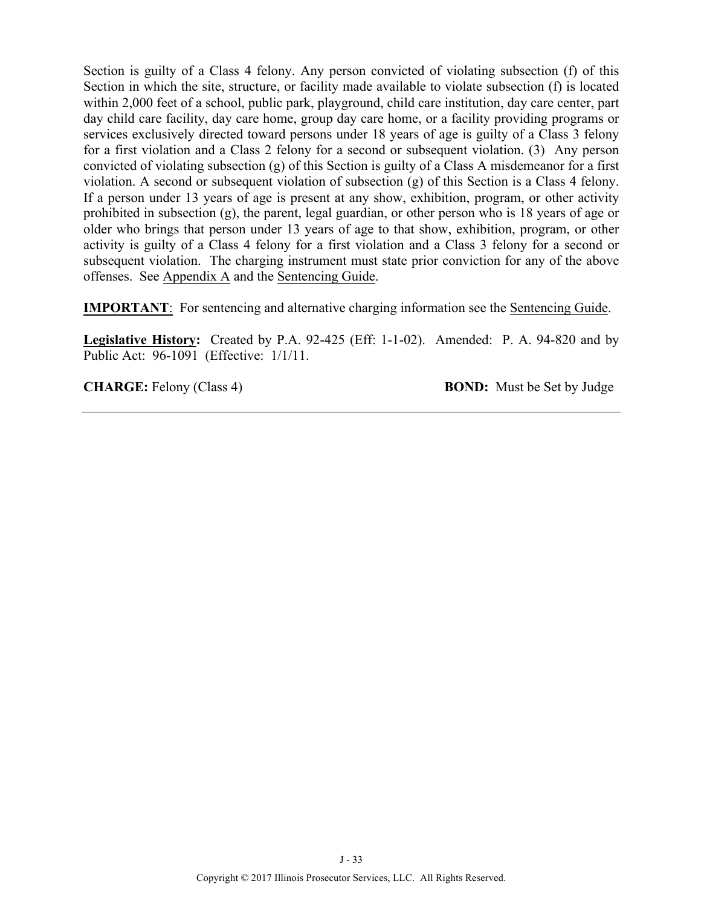Section is guilty of a Class 4 felony. Any person convicted of violating subsection (f) of this Section in which the site, structure, or facility made available to violate subsection (f) is located within 2,000 feet of a school, public park, playground, child care institution, day care center, part day child care facility, day care home, group day care home, or a facility providing programs or services exclusively directed toward persons under 18 years of age is guilty of a Class 3 felony for a first violation and a Class 2 felony for a second or subsequent violation. (3) Any person convicted of violating subsection (g) of this Section is guilty of a Class A misdemeanor for a first violation. A second or subsequent violation of subsection (g) of this Section is a Class 4 felony. If a person under 13 years of age is present at any show, exhibition, program, or other activity prohibited in subsection (g), the parent, legal guardian, or other person who is 18 years of age or older who brings that person under 13 years of age to that show, exhibition, program, or other activity is guilty of a Class 4 felony for a first violation and a Class 3 felony for a second or subsequent violation. The charging instrument must state prior conviction for any of the above offenses. See Appendix A and the Sentencing Guide.

**IMPORTANT**: For sentencing and alternative charging information see the Sentencing Guide.

**Legislative History:** Created by P.A. 92-425 (Eff: 1-1-02). Amended: P. A. 94-820 and by Public Act: 96-1091 (Effective: 1/1/11.

**CHARGE:** Felony (Class 4) **BOND:** Must be Set by Judge